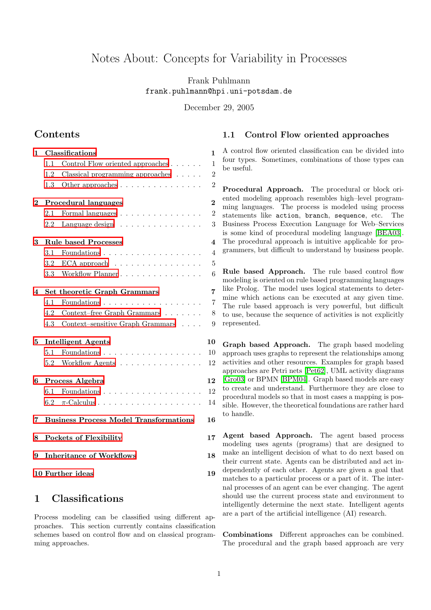# Notes About: Concepts for Variability in Processes

Frank Puhlmann frank.puhlmann@hpi.uni-potsdam.de

<span id="page-0-1"></span>December 29, 2005

## **Contents**

| 1        | $\mathbf{1}$<br>Classifications                     |                                                   |                         |
|----------|-----------------------------------------------------|---------------------------------------------------|-------------------------|
|          | 1.1                                                 | Control Flow oriented approaches                  | $\mathbf{1}$            |
|          | 1.2                                                 | Classical programming approaches $\ldots$ .       | $\overline{2}$          |
|          | 1.3                                                 | Other approaches                                  | $\overline{2}$          |
| $\bf{2}$ |                                                     | Procedural languages                              | $\overline{2}$          |
|          | 2.1                                                 | Formal languages                                  | $\overline{2}$          |
|          | 2.2                                                 | Language design $\ldots \ldots \ldots \ldots$     | 3                       |
| 3        |                                                     | <b>Rule based Processes</b>                       | $\overline{\mathbf{4}}$ |
|          | 3.1                                                 | Foundations                                       | $\overline{4}$          |
|          | 3.2                                                 | ECA approach $\ldots \ldots \ldots \ldots \ldots$ | $\overline{5}$          |
|          | 3.3                                                 | Workflow Planner                                  | 6                       |
| 4        |                                                     | Set theoretic Graph Grammars                      | 7                       |
|          | 4.1                                                 | Foundations                                       | 7                       |
|          | 4.2                                                 | Context-free Graph Grammars                       | 8                       |
|          | 4.3                                                 | Context-sensitive Graph Grammars                  | 9                       |
| 5        |                                                     | <b>Intelligent Agents</b>                         | 10                      |
|          | 5.1                                                 | Foundations                                       | 10                      |
|          | 5.2                                                 | Workflow Agents                                   | 12                      |
| 6        | Process Algebra                                     |                                                   |                         |
|          | 6.1                                                 | Foundations                                       | 12                      |
|          | 6.2                                                 |                                                   | 14                      |
| 7        | <b>Business Process Model Transformations</b><br>16 |                                                   |                         |
| 8        |                                                     | Pockets of Flexibility                            | 17                      |
| 9        |                                                     | <b>Inheritance of Workflows</b>                   | 18                      |
|          | 10 Further ideas<br>19                              |                                                   |                         |

## <span id="page-0-0"></span>1 Classifications

Process modeling can be classified using different approaches. This section currently contains classification schemes based on control flow and on classical programming approaches.

### 1.1 Control Flow oriented approaches

A control flow oriented classification can be divided into four types. Sometimes, combinations of those types can be useful.

Procedural Approach. The procedural or block oriented modeling approach resembles high–level programming languages. The process is modeled using process statements like action, branch, sequence, etc. The Business Process Execution Language for Web–Services is some kind of procedural modeling language [\[BEA03\]](#page-18-1). The procedural approach is intuitive applicable for programmers, but difficult to understand by business people.

Rule based Approach. The rule based control flow modeling is oriented on rule based programming languages like Prolog. The model uses logical statements to determine which actions can be executed at any given time. The rule based approach is very powerful, but difficult to use, because the sequence of activities is not explicitly represented.

Graph based Approach. The graph based modeling approach uses graphs to represent the relationships among activities and other resources. Examples for graph based approaches are Petri nets [\[Pet62\]](#page-19-0), UML activity diagrams [\[Gro03\]](#page-18-2) or BPMN [\[BPM04\]](#page-18-3). Graph based models are easy to create and understand. Furthermore they are close to procedural models so that in most cases a mapping is possible. However, the theoretical foundations are rather hard to handle.

Agent based Approach. The agent based process modeling uses agents (programs) that are designed to make an intelligent decision of what to do next based on their current state. Agents can be distributed and act independently of each other. Agents are given a goal that matches to a particular process or a part of it. The internal processes of an agent can be ever changing. The agent should use the current process state and environment to intelligently determine the next state. Intelligent agents are a part of the artificial intelligence (AI) research.

Combinations Different approaches can be combined. The procedural and the graph based approach are very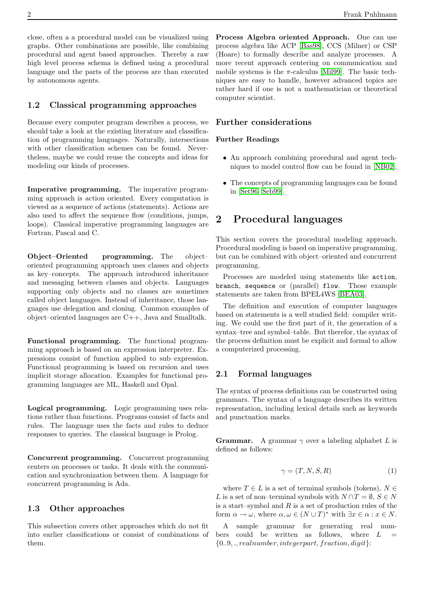close, often a a procedural model can be visualized using graphs. Other combinations are possible, like combining procedural and agent based approaches. Thereby a raw high level process schema is defined using a procedural language and the parts of the process are than executed by autonomous agents.

#### <span id="page-1-0"></span>1.2 Classical programming approaches

Because every computer program describes a process, we should take a look at the existing literature and classification of programming languages. Naturally, intersections with other classification schemes can be found. Nevertheless, maybe we could reuse the concepts and ideas for modeling our kinds of processes.

Imperative programming. The imperative programming approach is action oriented. Every computation is viewed as a sequence of actions (statements). Actions are also used to affect the sequence flow (conditions, jumps, loops). Classical imperative programming languages are Fortran, Pascal and C.

Object–Oriented programming. The object– oriented programming approach uses classes and objects as key–concepts. The approach introduced inheritance and messaging between classes and objects. Languages supporting only objects and no classes are sometimes called object languages. Instead of inheritance, those languages use delegation and cloning. Common examples of object–oriented languages are C++, Java and Smalltalk.

Functional programming. The functional programming approach is based on an expression interpreter. Expressions consist of function applied to sub–expression. Functional programming is based on recursion and uses implicit storage allocation. Examples for functional programming languages are ML, Haskell and Opal.

Logical programming. Logic programming uses relations rather than functions. Programs consist of facts and rules. The language uses the facts and rules to deduce responses to queries. The classical language is Prolog.

Concurrent programming. Concurrent programming centers on processes or tasks. It deals with the communication and synchronization between them. A language for concurrent programming is Ada.

#### <span id="page-1-1"></span>1.3 Other approaches

This subsection covers other approaches which do not fit into earlier classifications or consist of combinations of them.

Process Algebra oriented Approach. One can use process algebra like ACP [\[Bas98\]](#page-18-4), CCS (Milner) or CSP (Hoare) to formally describe and analyze processes. A more recent approach centering on communication and mobile systems is the  $\pi$ -calculus [\[Mil99\]](#page-19-1). The basic techniques are easy to handle, however advanced topics are rather hard if one is not a mathematician or theoretical computer scientist.

### Further considerations

#### Further Readings

- An approach combining procedural and agent techniques to model control flow can be found in [\[NB02\]](#page-19-2).
- The concepts of programming languages can be found in [\[Set96,](#page-19-3) [Seb99\]](#page-19-4).

## <span id="page-1-2"></span>2 Procedural languages

This section covers the procedural modeling approach. Procedural modeling is based on imperative programming, but can be combined with object–oriented and concurrent programming.

Processes are modeled using statements like action, branch, sequence or (parallel) flow. Those example statements are taken from BPEL4WS [\[BEA03\]](#page-18-1).

The definition and execution of computer languages based on statements is a well studied field: compiler writing. We could use the first part of it, the generation of a syntax–tree and symbol–table. But therefor, the syntax of the process definition must be explicit and formal to allow a computerized processing.

#### <span id="page-1-3"></span>2.1 Formal languages

The syntax of process definitions can be constructed using grammars. The syntax of a language describes its written representation, including lexical details such as keywords and punctuation marks.

**Grammar.** A grammar  $\gamma$  over a labeling alphabet L is defined as follows:

$$
\gamma = (T, N, S, R) \tag{1}
$$

where  $T \in L$  is a set of terminal symbols (tokens),  $N \in$ L is a set of non–terminal symbols with  $N \cap T = \emptyset$ ,  $S \in N$ is a start–symbol and  $R$  is a set of production rules of the form  $\alpha \to \omega$ , where  $\alpha, \omega \in (N \cup T)^*$  with  $\exists x \in \alpha : x \in N$ .

A sample grammar for generating real numbers could be written as follows, where  $L$  ${0..9,., real number, integer part, fraction, digit}$ :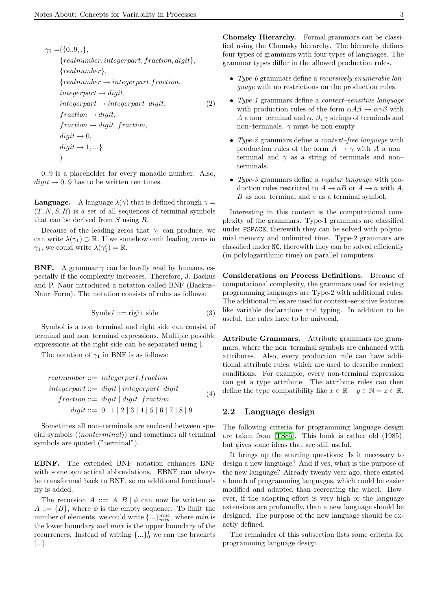$\gamma_1 = (\{0..9, .\},$ {realnumber, integerpart, fraction, digit}, {realnumber},  ${real number \rightarrow integer part. fraction,}$  $integer part \rightarrow digit,$  $integer part \rightarrow integer part \, diqit,$  $fraction \rightarrow digit,$  $fraction \rightarrow digit\ fraction,$  $digit \rightarrow 0$ ,  $digit \rightarrow 1, ...$ ) (2)

0..9 is a placeholder for every monadic number. Also,  $digit \rightarrow 0.0$  has to be written ten times.

**Language.** A language  $\lambda(\gamma)$  that is defined through  $\gamma =$  $(T, N, S, R)$  is a set of all sequences of terminal symbols that can be derived from S using R.

Because of the leading zeros that  $\gamma_1$  can produce, we can write  $\lambda(\gamma_1) \supset \mathbb{R}$ . If we somehow omit leading zeros in  $\gamma_1$ , we could write  $\lambda(\gamma'_1) = \mathbb{R}$ .

**BNF.** A grammar  $\gamma$  can be hardly read by humans, especially if the complexity increases. Therefore, J. Backus and P. Naur introduced a notation called BNF (Backus– Naur–Form). The notation consists of rules as follows:

$$
Symbol ::= right side \qquad (3)
$$

Symbol is a non–terminal and right side can consist of terminal and non–terminal expressions. Multiple possible expressions at the right side can be separated using |.

The notation of  $\gamma_1$  in BNF is as follows:

$$
real number ::= integer part fraction
$$
\n
$$
integer part ::= digit | integer part digit
$$
\n
$$
fraction ::= digit | digit fraction
$$
\n
$$
digit ::= 0 | 1 | 2 | 3 | 4 | 5 | 6 | 7 | 8 | 9
$$
\n
$$
figure = 0 | 1 | 2 | 3 | 4 | 5 | 6 | 7 | 8 | 9
$$

Sometimes all non–terminals are enclosed between special symbols ( $\langle nonterminal \rangle$ ) and sometimes all terminal symbols are quoted ("terminal").

EBNF. The extended BNF notation enhances BNF with some syntactical abbreviations. EBNF can always be transformed back to BNF, so no additional functionality is added.

The recursion  $A ::= A \, B \, \vert \, \phi$  can now be written as  $A ::= \{B\}$ , where  $\phi$  is the empty sequence. To limit the number of elements, we could write  $\{\ldots\}_{min}^{max}$ , where  $min$  is the lower boundary and  $max$  is the upper boundary of the recurrences. Instead of writing  $\{\ldots\}_0^1$  we can use brackets [...].

Chomsky Hierarchy. Formal grammars can be classified using the Chomsky hierarchy. The hierarchy defines four types of grammars with four types of languages. The grammar types differ in the allowed production rules.

- Type-0 grammars define a recursively enumerable language with no restrictions on the production rules.
- Type-1 grammars define a context–sensitive language with production rules of the form  $\alpha A\beta \rightarrow \alpha \gamma \beta$  with A a non–terminal and  $\alpha$ ,  $\beta$ ,  $\gamma$  strings of terminals and non–terminals.  $\gamma$  must be non empty.
- Type-2 grammars define a context–free language with production rules of the form  $A \rightarrow \gamma$  with A a non– terminal and  $\gamma$  as a string of terminals and nonterminals.
- Type-3 grammars define a regular language with production rules restricted to  $A \to aB$  or  $A \to a$  with A,  $B$  as non–terminal and  $a$  as a terminal symbol.

Interesting in this context is the computational complexity of the grammars. Type-1 grammars are classified under PSPACE, therewith they can be solved with polynomial memory and unlimited time. Type-2 grammars are classified under NC, therewith they can be solved efficiently (in polylogarithmic time) on parallel computers.

Considerations on Process Definitions. Because of computational complexity, the grammars used for existing programming languages are Type-2 with additional rules. The additional rules are used for context–sensitive features like variable declarations and typing. In addition to be useful, the rules have to be univocal.

Attribute Grammars. Attribute grammars are grammars, where the non–terminal symbols are enhanced with attributes. Also, every production rule can have additional attribute rules, which are used to describe context conditions. For example, every non-terminal expression can get a type attribute. The attribute rules can then define the type compatibility like  $x \in \mathbb{R} + y \in \mathbb{N} = z \in \mathbb{R}$ .

## <span id="page-2-0"></span>2.2 Language design

The following criteria for programming language design are taken from [\[TS85\]](#page-20-0). This book is rather old (1985), but gives some ideas that are still useful.

It brings up the starting questions: Is it necessary to design a new language? And if yes, what is the purpose of the new language? Already twenty year ago, there existed a bunch of programming languages, which could be easier modified and adapted than recreating the wheel. However, if the adapting effort is very high or the language extensions are profoundly, than a new language should be designed. The purpose of the new language should be exactly defined.

The remainder of this subsection lists some criteria for programming language design.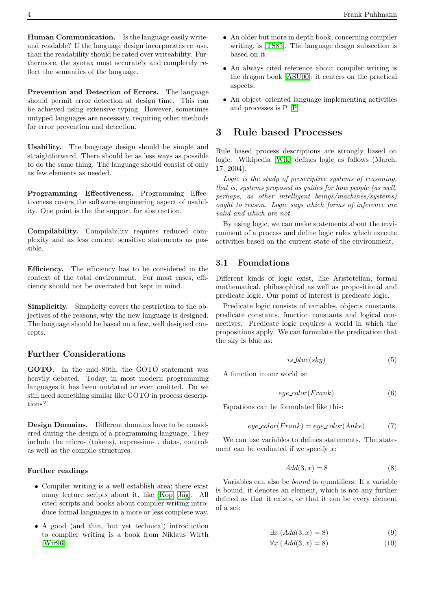Human Communication. Is the language easily writeand readable? If the language design incorporates re–use, than the readability should be rated over writeability. Furthermore, the syntax must accurately and completely reflect the semantics of the language.

Prevention and Detection of Errors. The language should permit error detection at design time. This can be achieved using extensive typing. However, sometimes untyped languages are necessary, requiring other methods for error prevention and detection.

Usability. The language design should be simple and straightforward. There should be as less ways as possible to do the same thing. The language should consist of only as few elements as needed.

Programming Effectiveness. Programming Effectiveness covers the software–engineering aspect of usability. One point is the the support for abstraction.

Compilability. Compilability requires reduced complexity and as less context–sensitive statements as possible.

Efficiency. The efficiency has to be considered in the context of the total environment. For most cases, efficiency should not be overrated but kept in mind.

Simplicitiy. Simplicity covers the restriction to the objectives of the reasons, why the new language is designed. The language should be based on a few, well designed concepts.

### Further Considerations

GOTO. In the mid–80th, the GOTO statement was heavily debated. Today, in most modern programming languages it has been outdated or even omitted. Do we still need something similar like GOTO in process descriptions?

Design Domains. Different domains have to be considered during the design of a programming language. They include the micro- (tokens), expression- , data-, controlas well as the compile structures.

#### Further readings

- Compiler writing is a well establish area; there exist many lecture scripts about it, like [\[Kop,](#page-19-5) Jäg]. All cited scripts and books about compiler writing introduce formal languages in a more or less complete way.
- A good (and thin, but yet technical) introduction to compiler writing is a book from Niklaus Wirth [\[Wir96\]](#page-20-1).
- An older but more in depth book, concerning compiler writing, is [\[TS85\]](#page-20-0). The language design subsection is based on it.
- An always cited reference about compiler writing is the dragon book [\[ASU00\]](#page-18-5); it centers on the practical aspects.
- An object–oriented language implementing activities and processes is P [\[P\]](#page-19-7).

## <span id="page-3-0"></span>3 Rule based Processes

Rule based process descriptions are strongly based on logic. Wikipedia [\[Wik\]](#page-20-2) defines logic as follows (March, 17, 2004):

Logic is the study of prescriptive systems of reasoning, that is, systems proposed as guides for how people (as well, perhaps, as other intelligent beings/machines/systems) ought to reason. Logic says which forms of inference are valid and which are not.

By using logic, we can make statements about the environment of a process and define logic rules which execute activities based on the current state of the environment.

### <span id="page-3-1"></span>3.1 Foundations

Different kinds of logic exist, like Aristotelian, formal mathematical, philosophical as well as propositional and predicate logic. Our point of interest is predicate logic.

Predicate logic consists of variables, objects constants, predicate constants, function constants and logical connectives. Predicate logic requires a world in which the propositions apply. We can formulate the predication that the sky is blue as:

$$
is\_blue(sky)
$$
 (5)

A function in our world is:

$$
eye\_color(Frank) \tag{6}
$$

Equations can be formulated like this:

$$
eye\_color(Frank) = eye\_color(Anke)
$$
 (7)

We can use variables to defines statements. The statement can be evaluated if we specify  $x$ :

$$
Add(3, x) = 8 \tag{8}
$$

Variables can also be bound to quantifiers. If a variable is bound, it denotes an element, which is not any further defined as that it exists, or that it can be every element of a set:

$$
\exists x. (Add(3, x) = 8)
$$
 (9)

$$
\forall x. (Add(3, x) = 8)
$$
 (10)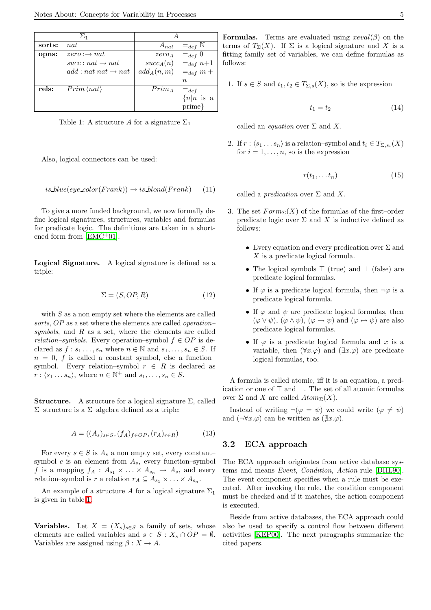|        | $\Sigma_1$                      |                          |               |
|--------|---------------------------------|--------------------------|---------------|
| sorts: | nat                             | $A_{nat}$                | $=_{def}$ N   |
| opns:  | $zero : \rightarrow nat$        | $zero_A$                 | $=_{def} 0$   |
|        | $succ: nat \rightarrow nat$     | $succ_A(n)$              | $=_{def} n+1$ |
|        | $add : nat nat \rightarrow nat$ | $add_A(n,m) =_{def} m +$ |               |
|        |                                 |                          | $\, n$        |
| rels:  | $Prim \langle nat \rangle$      | $Prim_{A}$               | $=_{def}$     |
|        |                                 |                          | $\{n n$ is a  |
|        |                                 |                          | prime}        |

<span id="page-4-1"></span>Table 1: A structure A for a signature  $\Sigma_1$ 

Also, logical connectors can be used:

$$
is blue(eye-color(Frank)) \rightarrow is\, bond(Frank) \qquad (11)
$$

To give a more funded background, we now formally define logical signatures, structures, variables and formulas for predicate logic. The definitions are taken in a short-ened form from [\[EMC](#page-18-6)<sup>+</sup>01].

Logical Signature. A logical signature is defined as a triple:

$$
\Sigma = (S, OP, R) \tag{12}
$$

with  $S$  as a non empty set where the elements are called sorts, OP as a set where the elements are called *operation*symbols, and  $R$  as a set, where the elements are called relation–symbols. Every operation–symbol  $f \in OP$  is declared as  $f : s_1 \ldots, s_n$  where  $n \in \mathbb{N}$  and  $s_1, \ldots, s_n \in S$ . If  $n = 0, f$  is called a constant–symbol, else a function– symbol. Every relation–symbol  $r \in R$  is declared as  $r : \langle s_1 \dots s_n \rangle$ , where  $n \in \mathbb{N}^+$  and  $s_1, \dots, s_n \in S$ .

**Structure.** A structure for a logical signature  $\Sigma$ , called Σ–structure is a Σ–algebra defined as a triple:

$$
A = ((A_s)_{s \in S}, (f_A)_{f \in OP}, (r_A)_{r \in R})
$$
\n
$$
(13)
$$

For every  $s \in S$  is  $A_s$  a non empty set, every constant– symbol  $c$  is an element from  $A_s$ , every function–symbol f is a mapping  $f_A : A_{s_1} \times \ldots \times A_{s_n} \to A_s$ , and every relation–symbol is r a relation  $r_A \subseteq A_{s_1} \times \ldots \times A_{s_n}$ .

An example of a structure A for a logical signature  $\Sigma_1$ is given in table [1.](#page-4-1)

**Variables.** Let  $X = (X_s)_{s \in S}$  a family of sets, whose elements are called variables and  $s \in S : X_s \cap OP = \emptyset$ . Variables are assigned using  $\beta : X \to A$ .

1. If  $s \in S$  and  $t_1, t_2 \in T_{\Sigma, s}(X)$ , so is the expression

$$
t_1 = t_2 \tag{14}
$$

called an *equation* over  $\Sigma$  and X.

2. If  $r : \langle s_1 ... s_n \rangle$  is a relation–symbol and  $t_i \in T_{\Sigma, s_i}(X)$ for  $i = 1, \ldots, n$ , so is the expression

$$
r(t_1, \ldots t_n) \tag{15}
$$

called a *predication* over  $\Sigma$  and X.

- 3. The set  $Form_{\Sigma}(X)$  of the formulas of the first–order predicate logic over  $\Sigma$  and X is inductive defined as follows:
	- Every equation and every predication over  $\Sigma$  and X is a predicate logical formula.
	- The logical symbols ⊤ (true) and ⊥ (false) are predicate logical formulas.
	- If  $\varphi$  is a predicate logical formula, then  $\neg \varphi$  is a predicate logical formula.
	- If  $\varphi$  and  $\psi$  are predicate logical formulas, then  $(\varphi \lor \psi), (\varphi \land \psi), (\varphi \to \psi)$  and  $(\varphi \leftrightarrow \psi)$  are also predicate logical formulas.
	- If  $\varphi$  is a predicate logical formula and x is a variable, then  $(\forall x.\varphi)$  and  $(\exists x.\varphi)$  are predicate logical formulas, too.

A formula is called atomic, iff it is an equation, a predication or one of ⊤ and ⊥. The set of all atomic formulas over  $\Sigma$  and X are called  $Atom_{\Sigma}(X)$ .

Instead of writing  $\neg(\varphi = \psi)$  we could write  $(\varphi \neq \psi)$ and  $(\neg \forall x.\varphi)$  can be written as  $(\nexists x.\varphi)$ .

#### <span id="page-4-0"></span>3.2 ECA approach

The ECA approach originates from active database systems and means Event, Condition, Action rule [\[DHL90\]](#page-18-7). The event component specifies when a rule must be executed. After invoking the rule, the condition component must be checked and if it matches, the action component is executed.

Beside from active databases, the ECA approach could also be used to specify a control flow between different activities [\[KEP00\]](#page-19-8). The next paragraphs summarize the cited papers.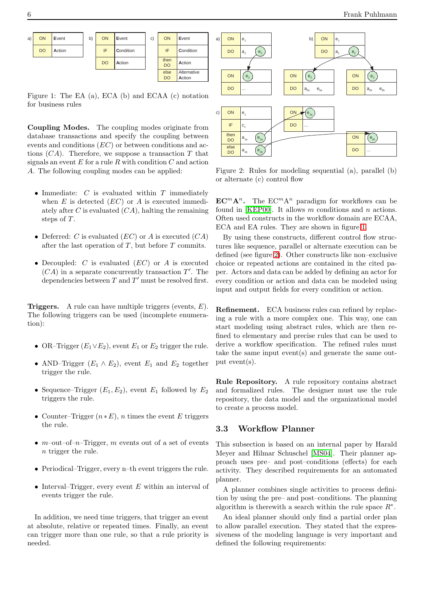

<span id="page-5-1"></span>Figure 1: The EA (a), ECA (b) and ECAA (c) notation for business rules

Coupling Modes. The coupling modes originate from database transactions and specify the coupling between events and conditions (EC) or between conditions and actions  $(CA)$ . Therefore, we suppose a transaction T that signals an event  $E$  for a rule  $R$  with condition  $C$  and action A. The following coupling modes can be applied:

- Immediate:  $C$  is evaluated within  $T$  immediately when  $E$  is detected  $(EC)$  or  $A$  is executed immediately after C is evaluated  $(CA)$ , halting the remaining steps of  $T$ .
- Deferred: C is evaluated  $(EC)$  or A is executed  $(CA)$ after the last operation of  $T$ , but before  $T$  commits.
- Decoupled:  $C$  is evaluated  $(EC)$  or  $A$  is executed  $(CA)$  in a separate concurrently transaction  $T'$ . The dependencies between  $T$  and  $T'$  must be resolved first.

**Triggers.** A rule can have multiple triggers (events,  $E$ ). The following triggers can be used (incomplete enumeration):

- OR–Trigger  $(E_1 \vee E_2)$ , event  $E_1$  or  $E_2$  trigger the rule.
- AND–Trigger  $(E_1 \wedge E_2)$ , event  $E_1$  and  $E_2$  together trigger the rule.
- Sequence–Trigger  $(E_1, E_2)$ , event  $E_1$  followed by  $E_2$ triggers the rule.
- Counter–Trigger  $(n * E)$ , *n* times the event E triggers the rule.
- $m$ –out–of– $n$ –Trigger, m events out of a set of events n trigger the rule.
- Periodical–Trigger, every n–th event triggers the rule.
- Interval–Trigger, every event  $E$  within an interval of events trigger the rule.

In addition, we need time triggers, that trigger an event at absolute, relative or repeated times. Finally, an event can trigger more than one rule, so that a rule priority is needed.



<span id="page-5-2"></span>Figure 2: Rules for modeling sequential (a), parallel (b) or alternate (c) control flow

 $\mathbf{EC}^m\mathbf{A}^n$ . The  $\mathbf{EC}^m\mathbf{A}^n$  paradigm for workflows can be found in [\[KEP00\]](#page-19-8). It allows  $m$  conditions and  $n$  actions. Often used constructs in the workflow domain are ECAA, ECA and EA rules. They are shown in figure [1.](#page-5-1)

By using these constructs, different control flow structures like sequence, parallel or alternate execution can be defined (see figure [2\)](#page-5-2). Other constructs like non–exclusive choice or repeated actions are contained in the cited paper. Actors and data can be added by defining an actor for every condition or action and data can be modeled using input and output fields for every condition or action.

Refinement. ECA business rules can refined by replacing a rule with a more complex one. This way, one can start modeling using abstract rules, which are then refined to elementary and precise rules that can be used to derive a workflow specification. The refined rules must take the same input event(s) and generate the same output event(s).

Rule Repository. A rule repository contains abstract and formalized rules. The designer must use the rule repository, the data model and the organizational model to create a process model.

### <span id="page-5-0"></span>3.3 Workflow Planner

This subsection is based on an internal paper by Harald Meyer and Hilmar Schuschel [\[MS04\]](#page-19-9). Their planner approach uses pre– and post–conditions (effects) for each activity. They described requirements for an automated planner.

A planner combines single activities to process definition by using the pre– and post–conditions. The planning algorithm is therewith a search within the rule space  $R^*$ .

An ideal planner should only find a partial order plan to allow parallel execution. They stated that the expressiveness of the modeling language is very important and defined the following requirements: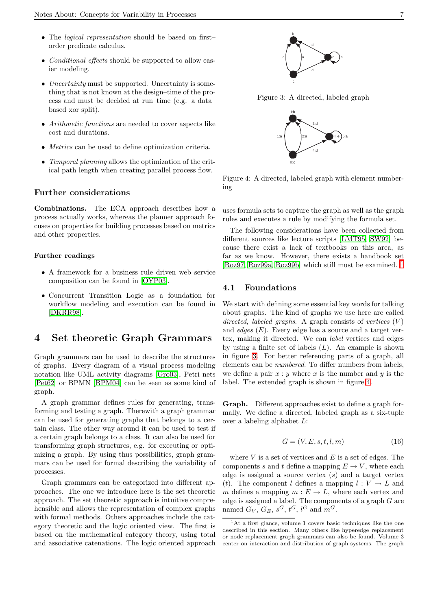- The *logical representation* should be based on firstorder predicate calculus.
- *Conditional effects* should be supported to allow easier modeling.
- Uncertainty must be supported. Uncertainty is something that is not known at the design–time of the process and must be decided at run–time (e.g. a data– based xor split).
- Arithmetic functions are needed to cover aspects like cost and durations.
- Metrics can be used to define optimization criteria.
- Temporal planning allows the optimization of the critical path length when creating parallel process flow.

#### Further considerations

Combinations. The ECA approach describes how a process actually works, whereas the planner approach focuses on properties for building processes based on metrics and other properties.

#### Further readings

- A framework for a business rule driven web service composition can be found in [\[OYP03\]](#page-19-10).
- Concurrent Transition Logic as a foundation for workflow modeling and execution can be found in [\[DKRR98\]](#page-18-8).

## <span id="page-6-0"></span>4 Set theoretic Graph Grammars

Graph grammars can be used to describe the structures of graphs. Every diagram of a visual process modeling notation like UML activity diagrams [\[Gro03\]](#page-18-2), Petri nets [\[Pet62\]](#page-19-0) or BPMN [\[BPM04\]](#page-18-3) can be seen as some kind of graph.

A graph grammar defines rules for generating, transforming and testing a graph. Therewith a graph grammar can be used for generating graphs that belongs to a certain class. The other way around it can be used to test if a certain graph belongs to a class. It can also be used for transforming graph structures, e.g. for executing or optimizing a graph. By using thus possibilities, graph grammars can be used for formal describing the variability of processes.

Graph grammars can be categorized into different approaches. The one we introduce here is the set theoretic approach. The set theoretic approach is intuitive comprehensible and allows the representation of complex graphs with formal methods. Others approaches include the category theoretic and the logic oriented view. The first is based on the mathematical category theory, using total and associative catenations. The logic oriented approach



<span id="page-6-3"></span>Figure 3: A directed, labeled graph



<span id="page-6-4"></span>Figure 4: A directed, labeled graph with element numbering

uses formula sets to capture the graph as well as the graph rules and executes a rule by modifying the formula set.

The following considerations have been collected from different sources like lecture scripts [\[LMT95,](#page-19-11) [SW92\]](#page-20-3) because there exist a lack of textbooks on this area, as far as we know. However, there exists a handbook set [\[Roz97,](#page-19-12) [Roz99a,](#page-19-13) [Roz99b\]](#page-19-14) which still must be examined. [1](#page-6-2)

#### <span id="page-6-1"></span>4.1 Foundations

We start with defining some essential key words for talking about graphs. The kind of graphs we use here are called directed, labeled graphs. A graph consists of vertices  $(V)$ and *edges*  $(E)$ . Every edge has a source and a target vertex, making it directed. We can label vertices and edges by using a finite set of labels  $(L)$ . An example is shown in figure [3.](#page-6-3) For better referencing parts of a graph, all elements can be numbered. To differ numbers from labels, we define a pair  $x : y$  where x is the number and y is the label. The extended graph is shown in figure [4.](#page-6-4)

Graph. Different approaches exist to define a graph formally. We define a directed, labeled graph as a six-tuple over a labeling alphabet L:

$$
G = (V, E, s, t, l, m) \tag{16}
$$

where  $V$  is a set of vertices and  $E$  is a set of edges. The components s and t define a mapping  $E \to V$ , where each edge is assigned a source vertex  $(s)$  and a target vertex (t). The component l defines a mapping  $l: V \to L$  and m defines a mapping  $m : E \to L$ , where each vertex and edge is assigned a label. The components of a graph  $G$  are named  $G_V$ ,  $G_E$ ,  $s^G$ ,  $t^G$ ,  $l^G$  and  $m^G$ .

<span id="page-6-2"></span><sup>1</sup>At a first glance, volume 1 covers basic techniques like the one described in this section. Many others like hyperedge replacement or node replacement graph grammars can also be found. Volume 3 center on interaction and distribution of graph systems. The graph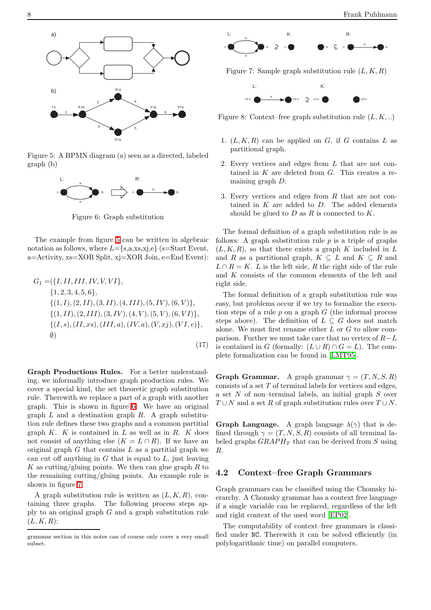

<span id="page-7-1"></span>Figure 5: A BPMN diagram (a) seen as a directed, labeled graph (b)



<span id="page-7-2"></span>Figure 6: Graph substitution

The example from figure [5](#page-7-1) can be written in algebraic notation as follows, where  $L = \{s, a, xs, xj, e\}$  (s=Start Event, a=Activity, xs=XOR Split, xj=XOR Join, e=End Event):

$$
G_1 = (\{I, II, III, IV, V, VI\},\
$$
  
\n
$$
\{1, 2, 3, 4, 5, 6\},\
$$
  
\n
$$
\{(1, I), (2, II), (3, II), (4, III), (5, IV), (6, V)\},\
$$
  
\n
$$
\{(1, II), (2, III), (3, IV), (4, V), (5, V), (6, VI)\},\
$$
  
\n
$$
\{(I, s), (II, xs), (III, a), (IV, a), (V, xj), (VI, e)\},\
$$
  
\n
$$
\emptyset
$$
  
\n(17)

Graph Productions Rules. For a better understanding, we informally introduce graph production rules. We cover a special kind, the set theoretic graph substitution rule. Therewith we replace a part of a graph with another graph. This is shown in figure [6.](#page-7-2) We have an original graph  $L$  and a destination graph  $R$ . A graph substitution rule defines these two graphs and a common partitial graph  $K$ .  $K$  is contained in  $L$  as well as in  $R$ .  $K$  does not consist of anything else  $(K = L \cap R)$ . If we have an original graph  $G$  that contains  $L$  as a partitial graph we can cut off anything in  $G$  that is equal to  $L$ , just leaving K as cutting/gluing points. We then can glue graph  $R$  to the remaining cutting/gluing points. An example rule is shown in figure [7.](#page-7-3)

A graph substitution rule is written as  $(L, K, R)$ , containing three graphs. The following process steps apply to an original graph  $G$  and a graph substitution rule  $(L, K, R)$ :



<span id="page-7-3"></span>Figure 7: Sample graph substitution rule  $(L, K, R)$ 



<span id="page-7-4"></span>Figure 8: Context–free graph substitution rule  $(L, K, ...)$ 

- 1.  $(L, K, R)$  can be applied on G, if G contains L as partitional graph.
- 2. Every vertices and edges from L that are not contained in  $K$  are deleted from  $G$ . This creates a remaining graph D.
- 3. Every vertices and edges from  $R$  that are not contained in  $K$  are added to  $D$ . The added elements should be glued to  $D$  as  $R$  is connected to  $K$ .

The formal definition of a graph substitution rule is as follows: A graph substitution rule  $p$  is a triple of graphs  $(L, K, R)$ , so that there exists a graph K included in L and R as a partitional graph,  $K \subseteq L$  and  $K \subseteq R$  and  $L \cap R = K$ . L is the left side, R the right side of the rule and K consists of the common elements of the left and right side.

The formal definition of a graph substitution rule was easy, but problems occur if we try to formalize the execution steps of a rule  $p$  on a graph  $G$  (the informal process steps above). The definition of  $L \subseteq G$  does not match alone. We must first rename either L or G to allow comparison. Further we must take care that no vertex of  $R-L$ is contained in G (formally:  $(L \cup R) \cap G = L$ ). The complete formalization can be found in [\[LMT95\]](#page-19-11).

**Graph Grammar.** A graph grammar  $\gamma = (T, N, S, R)$ consists of a set  $T$  of terminal labels for vertices and edges, a set N of non–terminal labels, an initial graph S over  $T \cup N$  and a set R of graph substitution rules over  $T \cup N$ .

**Graph Language.** A graph language  $\lambda(\gamma)$  that is defined through  $\gamma = (T, N, S, R)$  consists of all terminal labeled graphs  $GRAPH_T$  that can be derived from S using R.

#### <span id="page-7-0"></span>4.2 Context–free Graph Grammars

Graph grammars can be classified using the Chomsky hierarchy. A Chomsky grammar has a context free language if a single variable can be replaced, regardless of the left and right context of the used word [\[EP02\]](#page-18-9).

The computability of context–free grammars is classified under NC. Therewith it can be solved efficiently (in polylogarithmic time) on parallel computers.

grammar section in this notes can of course only cover a very small subset.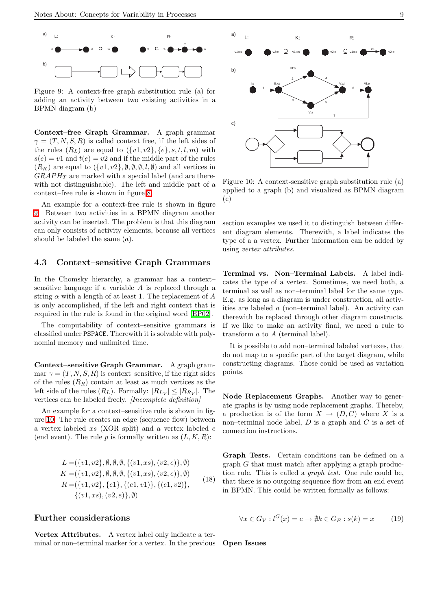

<span id="page-8-1"></span>Figure 9: A context-free graph substitution rule (a) for adding an activity between two existing activities in a BPMN diagram (b)

Context–free Graph Grammar. A graph grammar  $\gamma = (T, N, S, R)$  is called context free, if the left sides of the rules  $(R_L)$  are equal to  $({v1, v2}, {e}, s, t, l, m)$  with  $s(e) = v1$  and  $t(e) = v2$  and if the middle part of the rules  $(R_K)$  are equal to  $({v1, v2}, \emptyset, \emptyset, \emptyset, l, \emptyset)$  and all vertices in  $GRAPH<sub>T</sub>$  are marked with a special label (and are therewith not distinguishable). The left and middle part of a context–free rule is shown in figure [8.](#page-7-4)

An example for a context-free rule is shown in figure [9.](#page-8-1) Between two activities in a BPMN diagram another activity can be inserted. The problem is that this diagram can only consists of activity elements, because all vertices should be labeled the same  $(a)$ .

#### <span id="page-8-0"></span>4.3 Context–sensitive Graph Grammars

In the Chomsky hierarchy, a grammar has a context– sensitive language if a variable A is replaced through a string  $\alpha$  with a length of at least 1. The replacement of A is only accomplished, if the left and right context that is required in the rule is found in the original word [\[EP02\]](#page-18-9).

The computability of context–sensitive grammars is classified under PSPACE. Therewith it is solvable with polynomial memory and unlimited time.

Context–sensitive Graph Grammar. A graph grammar  $\gamma = (T, N, S, R)$  is context–sensitive, if the right sides of the rules  $(R_R)$  contain at least as much vertices as the left side of the rules  $(R_L)$ . Formally:  $|R_{L_V}| \leq |R_{R_V}|$ . The vertices can be labeled freely. *[Incomplete definition]* 

An example for a context–sensitive rule is shown in figure [10.](#page-8-2) The rule creates an edge (sequence flow) between a vertex labeled xs (XOR split) and a vertex labeled e (end event). The rule  $p$  is formally written as  $(L, K, R)$ :

$$
L = (\{v1, v2\}, \emptyset, \emptyset, \emptyset, \{(v1, xs), (v2, e)\}, \emptyset)
$$
  
\n
$$
K = (\{v1, v2\}, \emptyset, \emptyset, \emptyset, \{(v1, xs), (v2, e)\}, \emptyset)
$$
  
\n
$$
R = (\{v1, v2\}, \{e1\}, \{(e1, v1)\}, \{(e1, v2)\}, \{(v1, xs), (v2, e)\}, \emptyset)
$$
 (18)

#### Further considerations

Vertex Attributes. A vertex label only indicate a terminal or non–terminal marker for a vertex. In the previous



<span id="page-8-2"></span>Figure 10: A context-sensitive graph substitution rule (a) applied to a graph (b) and visualized as BPMN diagram (c)

section examples we used it to distinguish between different diagram elements. Therewith, a label indicates the type of a a vertex. Further information can be added by using vertex attributes.

Terminal vs. Non–Terminal Labels. A label indicates the type of a vertex. Sometimes, we need both, a terminal as well as non–terminal label for the same type. E.g. as long as a diagram is under construction, all activities are labeled a (non–terminal label). An activity can therewith be replaced through other diagram constructs. If we like to make an activity final, we need a rule to transform a to A (terminal label).

It is possible to add non–terminal labeled vertexes, that do not map to a specific part of the target diagram, while constructing diagrams. Those could be used as variation points.

Node Replacement Graphs. Another way to generate graphs is by using node replacement graphs. Thereby, a production is of the form  $X \to (D, C)$  where X is a non–terminal node label,  $D$  is a graph and  $C$  is a set of connection instructions.

Graph Tests. Certain conditions can be defined on a  $graph G$  that must match after applying a graph production rule. This is called a graph test. One rule could be, that there is no outgoing sequence flow from an end event in BPMN. This could be written formally as follows:

$$
\forall x \in G_V : l^G(x) = e \to \nexists k \in G_E : s(k) = x \tag{19}
$$

Open Issues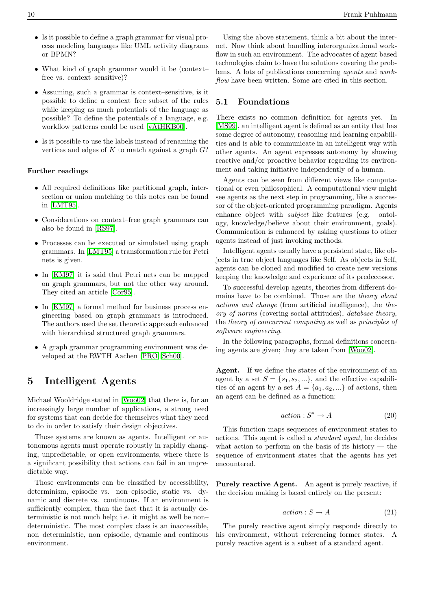- Is it possible to define a graph grammar for visual process modeling languages like UML activity diagrams or BPMN?
- What kind of graph grammar would it be (context– free vs. context–sensitive)?
- Assuming, such a grammar is context–sensitive, is it possible to define a context–free subset of the rules while keeping as much potentials of the language as possible? To define the potentials of a language, e.g. workflow patterns could be used [\[vAtHKB00\]](#page-20-4).
- Is it possible to use the labels instead of renaming the vertices and edges of  $K$  to match against a graph  $G$ ?

#### Further readings

- All required definitions like partitional graph, intersection or union matching to this notes can be found in [\[LMT95\]](#page-19-11).
- Considerations on context–free graph grammars can also be found in [\[RS97\]](#page-19-15).
- Processes can be executed or simulated using graph grammars. In [\[LMT95\]](#page-19-11) a transformation rule for Petri nets is given.
- In [\[KM97\]](#page-19-16) it is said that Petri nets can be mapped on graph grammars, but not the other way around. They cited an article [\[Cor95\]](#page-18-10).
- In [\[KM97\]](#page-19-16) a formal method for business process engineering based on graph grammars is introduced. The authors used the set theoretic approach enhanced with hierarchical structured graph grammars.
- A graph grammar programming environment was developed at the RWTH Aachen [\[PRO,](#page-19-17) [Sch00\]](#page-19-18).

## <span id="page-9-0"></span>5 Intelligent Agents

Michael Wooldridge stated in [\[Woo02\]](#page-20-5) that there is, for an increasingly large number of applications, a strong need for systems that can decide for themselves what they need to do in order to satisfy their design objectives.

Those systems are known as agents. Intelligent or autonomous agents must operate robustly in rapidly changing, unpredictable, or open environments, where there is a significant possibility that actions can fail in an unpredictable way.

Those environments can be classified by accessibility, determinism, episodic vs. non–episodic, static vs. dynamic and discrete vs. continuous. If an environment is sufficiently complex, than the fact that it is actually deterministic is not much help; i.e. it might as well be non– deterministic. The most complex class is an inaccessible, non–deterministic, non–episodic, dynamic and continous environment.

Using the above statement, think a bit about the internet. Now think about handling interorganizational workflow in such an environment. The advocates of agent based technologies claim to have the solutions covering the problems. A lots of publications concerning agents and workflow have been written. Some are cited in this section.

#### <span id="page-9-1"></span>5.1 Foundations

There exists no common definition for agents yet. In [\[MS99\]](#page-19-19), an intelligent agent is defined as an entity that has some degree of autonomy, reasoning and learning capabilities and is able to communicate in an intelligent way with other agents. An agent expresses autonomy by showing reactive and/or proactive behavior regarding its environment and taking initiative independently of a human.

Agents can be seen from different views like computational or even philosophical. A computational view might see agents as the next step in programming, like a successor of the object-oriented programming paradigm. Agents enhance object with *subject*–like features (e.g. ontology, knowledge/believe about their environment, goals). Communication is enhanced by asking questions to other agents instead of just invoking methods.

Intelligent agents usually have a persistent state, like objects in true object languages like Self. As objects in Self, agents can be cloned and modified to create new versions keeping the knowledge and experience of its predecessor.

To successful develop agents, theories from different domains have to be combined. Those are the theory about actions and change (from artificial intelligence), the theory of norms (covering social attitudes), database theory, the theory of concurrent computing as well as principles of software engineering.

In the following paragraphs, formal definitions concerning agents are given; they are taken from [\[Woo02\]](#page-20-5).

Agent. If we define the states of the environment of an agent by a set  $S = \{s_1, s_2, ...\}$ , and the effective capabilities of an agent by a set  $A = \{a_1, a_2, ...\}$  of actions, then an agent can be defined as a function:

$$
action: S^* \to A \tag{20}
$$

This function maps sequences of environment states to actions. This agent is called a standard agent, he decides what action to perform on the basis of its history  $-$  the sequence of environment states that the agents has yet encountered.

Purely reactive Agent. An agent is purely reactive, if the decision making is based entirely on the present:

$$
action: S \to A \tag{21}
$$

The purely reactive agent simply responds directly to his environment, without referencing former states. A purely reactive agent is a subset of a standard agent.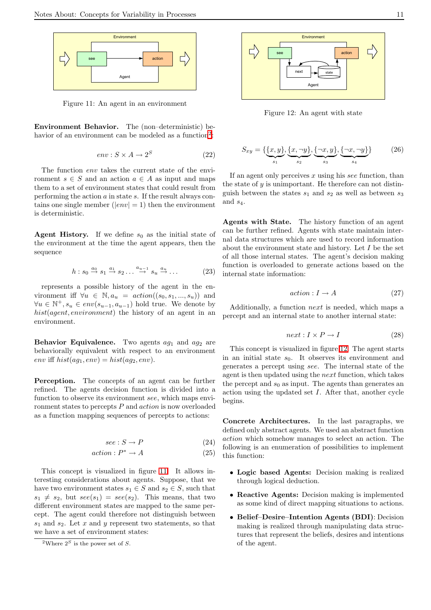

<span id="page-10-1"></span>Figure 11: An agent in an environment

Environment Behavior. The (non–deterministic) be-havior of an environment can be modeled as a function<sup>[2](#page-10-0)</sup>:

$$
env: S \times A \to 2^S \tag{22}
$$

The function env takes the current state of the environment  $s \in S$  and an action  $a \in A$  as input and maps them to a set of environment states that could result from performing the action  $a$  in state  $s$ . If the result always contains one single member  $(|env| = 1)$  then the environment is deterministic.

**Agent History.** If we define  $s_0$  as the initial state of the environment at the time the agent appears, then the sequence

$$
h: s_0 \stackrel{a_0}{\rightarrow} s_1 \stackrel{a_1}{\rightarrow} s_2 \dots \stackrel{a_{u-1}}{\rightarrow} s_u \stackrel{a_u}{\rightarrow} \dots \tag{23}
$$

represents a possible history of the agent in the environment iff  $\forall u \in \mathbb{N}, a_u = action((s_0, s_1, ..., s_u))$  and  $\forall u \in \mathbb{N}^+, s_u \in env(s_{u-1}, a_{u-1})$  hold true. We denote by hist(agent, environment) the history of an agent in an environment.

Behavior Equivalence. Two agents  $ag_1$  and  $ag_2$  are behaviorally equivalent with respect to an environment env iff  $hist(ag_1, env) = hist(ag_2, env)$ .

Perception. The concepts of an agent can be further refined. The agents decision function is divided into a function to observe its environment see, which maps environment states to percepts P and action is now overloaded as a function mapping sequences of percepts to actions:

$$
see: S \to P \tag{24}
$$

$$
action: P^* \to A \tag{25}
$$

This concept is visualized in figure [11.](#page-10-1) It allows interesting considerations about agents. Suppose, that we have two environment states  $s_1 \in S$  and  $s_2 \in S$ , such that  $s_1 \neq s_2$ , but  $see(s_1) = see(s_2)$ . This means, that two different environment states are mapped to the same percept. The agent could therefore not distinguish between  $s_1$  and  $s_2$ . Let x and y represent two statements, so that we have a set of environment states:



<span id="page-10-2"></span>Figure 12: An agent with state

$$
S_{xy} = \{ \underbrace{\{x, y\}}_{s_1}, \underbrace{\{x, \neg y\}}_{s_2}, \underbrace{\{\neg x, y\}}_{s_3}, \underbrace{\{\neg x, \neg y\}}_{s_4} \}
$$
(26)

If an agent only perceives  $x$  using his see function, than the state of  $y$  is unimportant. He therefore can not distinguish between the states  $s_1$  and  $s_2$  as well as between  $s_3$ and  $s_4$ .

Agents with State. The history function of an agent can be further refined. Agents with state maintain internal data structures which are used to record information about the environment state and history. Let  $I$  be the set of all those internal states. The agent's decision making function is overloaded to generate actions based on the internal state information:

$$
action: I \to A \tag{27}
$$

Additionally, a function next is needed, which maps a percept and an internal state to another internal state:

$$
next: I \times P \to I \tag{28}
$$

This concept is visualized in figure [12.](#page-10-2) The agent starts in an initial state  $s_0$ . It observes its environment and generates a percept using see. The internal state of the agent is then updated using the next function, which takes the percept and  $s_0$  as input. The agents than generates an action using the updated set I. After that, another cycle begins.

Concrete Architectures. In the last paragraphs, we defined only abstract agents. We used an abstract function action which somehow manages to select an action. The following is an enumeration of possibilities to implement this function:

- Logic based Agents: Decision making is realized through logical deduction.
- Reactive Agents: Decision making is implemented as some kind of direct mapping situations to actions.
- Belief–Desire–Intention Agents (BDI): Decision making is realized through manipulating data structures that represent the beliefs, desires and intentions of the agent.

<span id="page-10-0"></span><sup>&</sup>lt;sup>2</sup>Where  $2^S$  is the power set of S.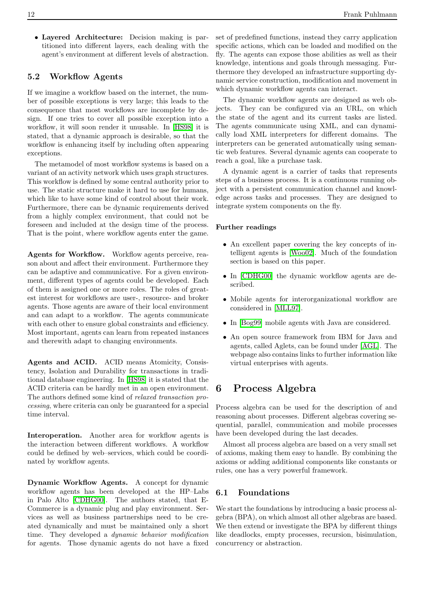• Layered Architecture: Decision making is partitioned into different layers, each dealing with the agent's environment at different levels of abstraction.

### <span id="page-11-0"></span>5.2 Workflow Agents

If we imagine a workflow based on the internet, the number of possible exceptions is very large; this leads to the consequence that most workflows are incomplete by design. If one tries to cover all possible exception into a workflow, it will soon render it unusable. In [\[HS98\]](#page-18-11) it is stated, that a dynamic approach is desirable, so that the workflow is enhancing itself by including often appearing exceptions.

The metamodel of most workflow systems is based on a variant of an activity network which uses graph structures. This workflow is defined by some central authority prior to use. The static structure make it hard to use for humans, which like to have some kind of control about their work. Furthermore, there can be dynamic requirements derived from a highly complex environment, that could not be foreseen and included at the design time of the process. That is the point, where workflow agents enter the game.

Agents for Workflow. Workflow agents perceive, reason about and affect their environment. Furthermore they can be adaptive and communicative. For a given environment, different types of agents could be developed. Each of them is assigned one or more roles. The roles of greatest interest for workflows are user-, resource- and broker agents. Those agents are aware of their local environment and can adapt to a workflow. The agents communicate with each other to ensure global constraints and efficiency. Most important, agents can learn from repeated instances and therewith adapt to changing environments.

Agents and ACID. ACID means Atomicity, Consistency, Isolation and Durability for transactions in traditional database engineering. In [\[HS98\]](#page-18-11) it is stated that the ACID criteria can be hardly met in an open environment. The authors defined some kind of relaxed transaction processing, where criteria can only be guaranteed for a special time interval.

Interoperation. Another area for workflow agents is the interaction between different workflows. A workflow could be defined by web–services, which could be coordinated by workflow agents.

Dynamic Workflow Agents. A concept for dynamic workflow agents has been developed at the HP–Labs in Palo Alto [\[CDHG00\]](#page-18-12). The authors stated, that E-Commerce is a dynamic plug and play environment. Services as well as business partnerships need to be created dynamically and must be maintained only a short time. They developed a dynamic behavior modification for agents. Those dynamic agents do not have a fixed

set of predefined functions, instead they carry application specific actions, which can be loaded and modified on the fly. The agents can expose those abilities as well as their knowledge, intentions and goals through messaging. Furthermore they developed an infrastructure supporting dynamic service construction, modification and movement in which dynamic workflow agents can interact.

The dynamic workflow agents are designed as web objects. They can be configured via an URL, on which the state of the agent and its current tasks are listed. The agents communicate using XML, and can dynamically load XML interpreters for different domains. The interpreters can be generated automatically using semantic web features. Several dynamic agents can cooperate to reach a goal, like a purchase task.

A dynamic agent is a carrier of tasks that represents steps of a business process. It is a continuous running object with a persistent communication channel and knowledge across tasks and processes. They are designed to integrate system components on the fly.

#### Further readings

- An excellent paper covering the key concepts of intelligent agents is [\[Woo02\]](#page-20-5). Much of the foundation section is based on this paper.
- In [\[CDHG00\]](#page-18-12) the dynamic workflow agents are described.
- Mobile agents for interorganizational workflow are considered in [\[MLL97\]](#page-19-20).
- In [\[Bog99\]](#page-18-13) mobile agents with Java are considered.
- An open source framework from IBM for Java and agents, called Aglets, can be found under [\[AGL\]](#page-18-14). The webpage also contains links to further information like virtual enterprises with agents.

## <span id="page-11-1"></span>6 Process Algebra

Process algebra can be used for the description of and reasoning about processes. Different algebras covering sequential, parallel, communication and mobile processes have been developed during the last decades.

Almost all process algebra are based on a very small set of axioms, making them easy to handle. By combining the axioms or adding additional components like constants or rules, one has a very powerful framework.

#### <span id="page-11-2"></span>6.1 Foundations

We start the foundations by introducing a basic process algebra (BPA), on which almost all other algebras are based. We then extend or investigate the BPA by different things like deadlocks, empty processes, recursion, bisimulation, concurrency or abstraction.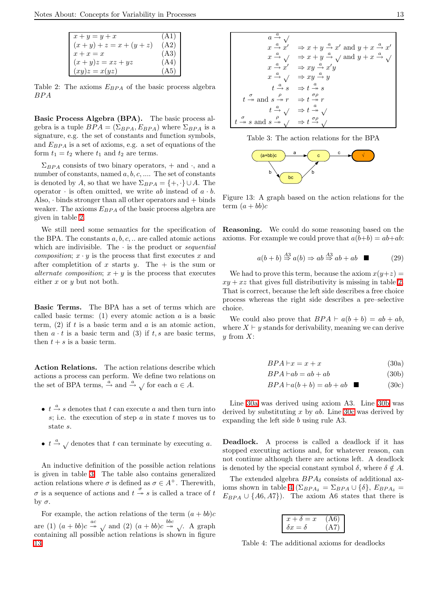| $x+y=y+x$                   | (A1) |
|-----------------------------|------|
| $(x + y) + z = x + (y + z)$ | (A2) |
| $x + x = x$                 | (A3) |
| $(x+y)z = xz + yz$          | (A4) |
| $(xy)z = x(yz)$             | (A5) |

<span id="page-12-0"></span>Table 2: The axioms  $E_{BPA}$  of the basic process algebra BPA

Basic Process Algebra (BPA). The basic process algebra is a tuple  $BPA = (\Sigma_{BPA}, E_{BPA})$  where  $\Sigma_{BPA}$  is a signature, e.g. the set of constants and function symbols, and  $E_{BPA}$  is a set of axioms, e.g. a set of equations of the form  $t_1 = t_2$  where  $t_1$  and  $t_2$  are terms.

 $\Sigma_{BPA}$  consists of two binary operators, + and ·, and a number of constants, named  $a, b, c, \dots$ . The set of constants is denoted by A, so that we have  $\Sigma_{BPA} = \{+, \cdot\} \cup A$ . The operator  $\cdot$  is often omitted, we write ab instead of  $a \cdot b$ . Also,  $\cdot$  binds stronger than all other operators and  $+$  binds weaker. The axioms  $E_{BPA}$  of the basic process algebra are given in table [2.](#page-12-0)

We still need some semantics for the specification of the BPA. The constants  $a, b, c, \ldots$  are called atomic actions which are indivisible. The  $\cdot$  is the product or *sequential composition*;  $x \cdot y$  is the process that first executes x and after completition of x starts y. The  $+$  is the sum or alternate composition;  $x + y$  is the process that executes either  $x$  or  $y$  but not both.

Basic Terms. The BPA has a set of terms which are called basic terms: (1) every atomic action  $a$  is a basic term,  $(2)$  if t is a basic term and a is an atomic action, then  $a \cdot t$  is a basic term and (3) if  $t, s$  are basic terms, then  $t + s$  is a basic term.

Action Relations. The action relations describe which actions a process can perform. We define two relations on the set of BPA terms,  $\stackrel{a}{\rightarrow}$  and  $\stackrel{a}{\rightarrow} \sqrt$  for each  $a \in A$ .

- $t \stackrel{a}{\rightarrow} s$  denotes that  $t$  can execute  $a$  and then turn into s; i.e. the execution of step  $a$  in state  $t$  moves us to state s.
- $t \stackrel{a}{\rightarrow} \sqrt{\ }$  denotes that t can terminate by executing a.

An inductive definition of the possible action relations is given in table [3.](#page-12-1) The table also contains generalized action relations where  $\sigma$  is defined as  $\sigma \in A^+$ . Therewith, σ is a sequence of actions and  $t \stackrel{\sigma}{\rightarrow} s$  is called a trace of t by σ.

For example, the action relations of the term  $(a + bb)c$ are (1)  $(a + bb)c \stackrel{ac}{\rightarrow} \sqrt{ab}$  and (2)  $(a + bb)c \stackrel{bbc}{\rightarrow} \sqrt{ab}$ . A graph containing all possible action relations is shown in figure [13.](#page-12-2)

$$
a \xrightarrow{a} \sqrt{}
$$
  
\n $x \xrightarrow{a} x' \Rightarrow x + y \xrightarrow{a} x'$  and  $y + x \xrightarrow{a} x'$   
\n $x \xrightarrow{a} \sqrt{}$   $\Rightarrow x + y \xrightarrow{a} \sqrt{}$  and  $y + x \xrightarrow{a} \sqrt{}$   
\n $x \xrightarrow{a} x' \Rightarrow xy \xrightarrow{a} x'y$   
\n $x \xrightarrow{a} \sqrt{}$   $\Rightarrow xy \xrightarrow{a} y'$   
\n $t \xrightarrow{a} s \Rightarrow t \xrightarrow{a} s$   
\n $t \xrightarrow{a} s \Rightarrow t \xrightarrow{a} s$   
\n $t \xrightarrow{a} \sqrt{}$   $\Rightarrow t \xrightarrow{a} \sqrt{}$   
\n $t \xrightarrow{a} \sqrt{}$   $\Rightarrow t \xrightarrow{a} \sqrt{}$   
\n $t \xrightarrow{a} s$  and  $s \xrightarrow{\rho} \sqrt{}$   $\Rightarrow t \xrightarrow{a} \sqrt{}$ 

<span id="page-12-1"></span>Table 3: The action relations for the BPA



<span id="page-12-2"></span>Figure 13: A graph based on the action relations for the term  $(a + bb)c$ 

Reasoning. We could do some reasoning based on the axioms. For example we could prove that  $a(b+b) = ab+ab$ :

$$
a(b+b) \stackrel{A3}{\Rightarrow} a(b) \Rightarrow ab \stackrel{A3}{\Rightarrow} ab + ab \quad \blacksquare \tag{29}
$$

We had to prove this term, because the axiom  $x(y+z) =$  $xy + xz$  that gives full distributivity is missing in table [2.](#page-12-0) That is correct, because the left side describes a free choice process whereas the right side describes a pre–selective choice.

We could also prove that  $BPA \vdash a(b + b) = ab + ab$ , where  $X \vdash y$  stands for derivability, meaning we can derive  $y$  from  $X$ :

<span id="page-12-4"></span><span id="page-12-3"></span>
$$
BPA \vdash x = x + x \tag{30a}
$$

<span id="page-12-5"></span>
$$
BPA \vdash ab = ab + ab \tag{30b}
$$

$$
BPA \vdash a(b+b) = ab + ab \quad \blacksquare \tag{30c}
$$

Line [30a](#page-12-3) was derived using axiom A3. Line [30b](#page-12-4) was derived by substituting  $x$  by  $ab$ . Line [30c](#page-12-5) was derived by expanding the left side b using rule A3.

Deadlock. A process is called a deadlock if it has stopped executing actions and, for whatever reason, can not continue although there are actions left. A deadlock is denoted by the special constant symbol  $\delta$ , where  $\delta \notin A$ .

The extended algebra  $BPA_{\delta}$  consists of additional ax-ioms shown in table [4](#page-12-6) ( $\Sigma_{BPA_{\delta}} = \Sigma_{BPA} \cup {\delta}, E_{BPA_{\delta}} =$  $E_{BPA} \cup \{A6, A7\}$ . The axiom A6 states that there is

| $+\delta =$<br>x<br>'T. | (AG) |
|-------------------------|------|
| $\delta x = \delta$     | A 7  |

<span id="page-12-6"></span>Table 4: The additional axioms for deadlocks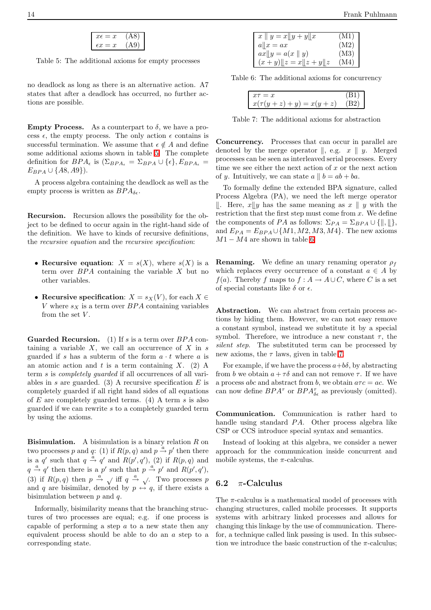<span id="page-13-1"></span>Table 5: The additional axioms for empty processes

no deadlock as long as there is an alternative action. A7 states that after a deadlock has occurred, no further actions are possible.

**Empty Process.** As a counterpart to  $\delta$ , we have a process  $\epsilon$ , the empty process. The only action  $\epsilon$  contains is successful termination. We assume that  $\epsilon \notin A$  and define some additional axioms shown in table [5.](#page-13-1) The complete definition for  $BPA_{\epsilon}$  is  $(\Sigma_{BPA_{\epsilon}} = \Sigma_{BPA} \cup {\epsilon}, E_{BPA_{\epsilon}} =$  $E_{BPA} \cup \{A8, A9\}$ .

A process algebra containing the deadlock as well as the empty process is written as  $BPA_{\delta\epsilon}$ .

Recursion. Recursion allows the possibility for the object to be defined to occur again in the right-hand side of the definition. We have to kinds of recursive definitions, the recursive equation and the recursive specification:

- Recursive equation:  $X = s(X)$ , where  $s(X)$  is a term over  $BPA$  containing the variable  $X$  but no other variables.
- Recursive specification:  $X = s_X(V)$ , for each  $X \in$ V where  $s_X$  is a term over BPA containing variables from the set  $V$ .

**Guarded Recursion.** (1) If s is a term over  $BPA$  containing a variable  $X$ , we call an occurrence of  $X$  in  $s$ guarded if s has a subterm of the form  $a \cdot t$  where a is an atomic action and t is a term containing  $X$ . (2) A term s is *completely quarded* if all occurrences of all variables in s are guarded. (3) A recursive specification  $E$  is completely guarded if all right hand sides of all equations of  $E$  are completely guarded terms. (4) A term  $s$  is also guarded if we can rewrite s to a completely guarded term by using the axioms.

**Bisimulation.** A bisimulation is a binary relation  $R$  on two processes p and q: (1) if  $R(p, q)$  and  $p \stackrel{a}{\rightarrow} p'$  then there is a q' such that  $q \stackrel{a}{\rightarrow} q'$  and  $R(p', q')$ , (2) if  $R(p, q)$  and  $q \stackrel{a}{\rightarrow} q'$  then there is a p' such that  $p \stackrel{a}{\rightarrow} p'$  and  $R(p', q'),$ (3) if  $R(p,q)$  then  $p \stackrel{a}{\rightarrow} \sqrt{q}$  iff  $q \stackrel{a}{\rightarrow} \sqrt{q}$ . Two processes p and q are bisimilar, denoted by  $p \leftrightarrow q$ , if there exists a bisimulation between  $p$  and  $q$ .

Informally, bisimilarity means that the branching structures of two processes are equal; e.g. if one process is capable of performing a step a to a new state then any equivalent process should be able to do an a step to a corresponding state.

| $\overline{x} \parallel y = x \parallel y + y \parallel x$ |                                      |
|------------------------------------------------------------|--------------------------------------|
| $a  x=ax$                                                  |                                      |
| $ax  y = a(x  y)$                                          | $(M1)$<br>$(M2)$<br>$(M3)$<br>$(M4)$ |
| $(x+y)\ z=x\ z+y\ z$                                       |                                      |

<span id="page-13-2"></span>Table 6: The additional axioms for concurrency

| $x(\tau(y + z) + y) = x(y + z)$ | Р., |
|---------------------------------|-----|

<span id="page-13-3"></span>Table 7: The additional axioms for abstraction

Concurrency. Processes that can occur in parallel are denoted by the merge operator  $\parallel$ , e.g.  $x \parallel y$ . Merged processes can be seen as interleaved serial processes. Every time we see either the next action of  $x$  or the next action of y. Intuitively, we can state  $a \parallel b = ab + ba$ .

To formally define the extended BPA signature, called Process Algebra (PA), we need the left merge operator  $\parallel$ . Here,  $x \parallel y$  has the same meaning as  $x \parallel y$  with the restriction that the first step must come from  $x$ . We define the components of PA as follows:  $\Sigma_{PA} = \Sigma_{BPA} \cup \{\parallel, \parallel\},\$ and  $E_{PA} = E_{BPA} \cup \{M1, M2, M3, M4\}$ . The new axioms  $M1 - M4$  are shown in table [6.](#page-13-2)

**Renaming.** We define an unary renaming operator  $\rho_f$ which replaces every occurrence of a constant  $a \in A$  by  $f(a)$ . Thereby f maps to  $f : A \to A \cup C$ , where C is a set of special constants like  $\delta$  or  $\epsilon$ .

Abstraction. We can abstract from certain process actions by hiding them. However, we can not easy remove a constant symbol, instead we substitute it by a special symbol. Therefore, we introduce a new constant  $\tau$ , the silent step. The substituted term can be processed by new axioms, the  $\tau$  laws, given in table [7.](#page-13-3)

For example, if we have the process  $a+b\delta$ , by abstracting from b we obtain  $a + \tau \delta$  and can not remove  $\tau$ . If we have a process abc and abstract from b, we obtain  $a\tau c = ac$ . We can now define  $BPA^{\tau}$  or  $BPA^{\tau}_{\delta \epsilon}$  as previously (omitted).

Communication. Communication is rather hard to handle using standard PA. Other process algebra like CSP or CCS introduce special syntax and semantics.

Instead of looking at this algebra, we consider a newer approach for the communication inside concurrent and mobile systems, the  $\pi$ -calculus.

### <span id="page-13-0"></span>6.2  $\pi$ -Calculus

The  $\pi$ -calculus is a mathematical model of processes with changing structures, called mobile processes. It supports systems with arbitrary linked processes and allows for changing this linkage by the use of communication. Therefor, a technique called link passing is used. In this subsection we introduce the basic construction of the  $\pi$ -calculus;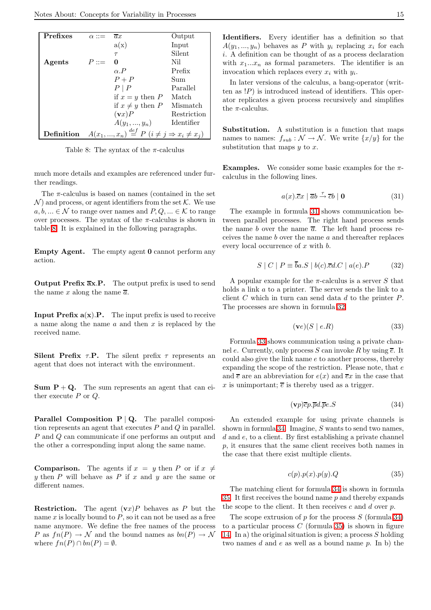| Prefixes   | $\alpha ::=$ | ax                                                                   | Output      |
|------------|--------------|----------------------------------------------------------------------|-------------|
|            |              | a(x)                                                                 | Input       |
|            |              | $\tau$                                                               | Silent      |
| Agents     | $P ::=$      | 0                                                                    | Nil         |
|            |              | $\alpha$ . P                                                         | Prefix      |
|            |              | $P + P$                                                              | Sum         |
|            |              | $P \mid P$                                                           | Parallel    |
|            |              | if $x = y$ then P                                                    | Match       |
|            |              | if $x \neq y$ then P                                                 | Mismatch    |
|            |              | $(\mathbf{v}x)P$                                                     | Restriction |
|            |              | $A(y_1,, y_n)$                                                       | Identifier  |
| Definition |              | $A(x_1,,x_n) \stackrel{def}{=} P(i \neq j \Rightarrow x_i \neq x_j)$ |             |

<span id="page-14-0"></span>Table 8: The syntax of the  $\pi$ -calculus

much more details and examples are referenced under further readings.

The  $\pi$ -calculus is based on names (contained in the set  $\mathcal{N}$  and process, or agent identifiers from the set  $\mathcal{K}$ . We use  $a, b, \ldots \in \mathcal{N}$  to range over names and  $P, Q, \ldots \in \mathcal{K}$  to range over processes. The syntax of the  $\pi$ -calculus is shown in table [8.](#page-14-0) It is explained in the following paragraphs.

Empty Agent. The empty agent 0 cannot perform any action.

Output Prefix  $\overline{a}x.P.$  The output prefix is used to send the name x along the name  $\overline{a}$ .

**Input Prefix**  $a(x)$ **.P.** The input prefix is used to receive a name along the name  $a$  and then  $x$  is replaced by the received name.

Silent Prefix  $\tau$ .P. The silent prefix  $\tau$  represents an agent that does not interact with the environment.

**Sum**  $P + Q$ **.** The sum represents an agent that can either execute  $P$  or  $Q$ .

**Parallel Composition P | Q.** The parallel composition represents an agent that executes  $P$  and  $Q$  in parallel. P and Q can communicate if one performs an output and the other a corresponding input along the same name.

**Comparison.** The agents if  $x = y$  then P or if  $x \neq$ y then  $P$  will behave as  $P$  if  $x$  and  $y$  are the same or different names.

**Restriction.** The agent  $(\mathbf{v}x)P$  behaves as P but the name  $x$  is locally bound to  $P$ , so it can not be used as a free name anymore. We define the free names of the process P as  $fn(P) \to \mathcal{N}$  and the bound names as  $bn(P) \to \mathcal{N}$ where  $fn(P) \cap bn(P) = \emptyset$ .

Identifiers. Every identifier has a definition so that  $A(y_1, ..., y_n)$  behaves as P with  $y_i$  replacing  $x_i$  for each i. A definition can be thought of as a process declaration with  $x_1...x_n$  as formal parameters. The identifier is an invocation which replaces every  $x_i$  with  $y_i$ .

In later versions of the calculus, a bang-operator (written as  $\langle P \rangle$  is introduced instead of identifiers. This operator replicates a given process recursively and simplifies the  $\pi$ -calculus.

Substitution. A substitution is a function that maps names to names:  $f_{sub}: \mathcal{N} \to \mathcal{N}$ . We write  $\{x/y\}$  for the substitution that maps  $y$  to  $x$ .

<span id="page-14-1"></span>**Examples.** We consider some basic examples for the  $\pi$ calculus in the following lines.

$$
a(x).\overline{c}x \mid \overline{a}b \stackrel{\tau}{\rightarrow} \overline{c}b \mid \mathbf{0} \tag{31}
$$

The example in formula [31](#page-14-1) shows communication between parallel processes. The right hand process sends the name b over the name  $\overline{a}$ . The left hand process receives the name b over the name a and thereafter replaces every local occurrence of x with b.

$$
S \mid C \mid P \equiv \overline{b}a.S \mid b(c). \overline{c}d.C \mid a(e).P \tag{32}
$$

<span id="page-14-2"></span>A popular example for the  $\pi$ -calculus is a server S that holds a link a to a printer. The server sends the link to a client C which in turn can send data d to the printer  $P$ . The processes are shown in formula [32.](#page-14-2)

$$
(\mathbf{v}e)(S \mid e.R) \tag{33}
$$

<span id="page-14-3"></span>Formula [33](#page-14-3) shows communication using a private channel e. Currently, only process S can invoke R by using  $\overline{e}$ . It could also give the link name e to another process, thereby expanding the scope of the restriction. Please note, that  $e$ and  $\overline{e}$  are an abbreviation for  $e(x)$  and  $\overline{e}x$  in the case that x is unimportant;  $\overline{e}$  is thereby used as a trigger.

$$
(\mathbf{v}p)\overline{c}p.\overline{p}d.\overline{p}e.S\tag{34}
$$

<span id="page-14-4"></span>An extended example for using private channels is shown in formula [34.](#page-14-4) Imagine, S wants to send two names, d and e, to a client. By first establishing a private channel p, it ensures that the same client receives both names in the case that there exist multiple clients.

$$
c(p).p(x).p(y).Q \t\t(35)
$$

<span id="page-14-5"></span>The matching client for formula [34](#page-14-4) is shown in formula [35.](#page-14-5) It first receives the bound name  $p$  and thereby expands the scope to the client. It then receives  $c$  and  $d$  over  $p$ .

The scope extrusion of  $p$  for the process  $S$  (formula [34\)](#page-14-4) to a particular process  $C$  (formula [35\)](#page-14-5) is shown in figure [14.](#page-15-1) In a) the original situation is given; a process  $S$  holding two names  $d$  and  $e$  as well as a bound name  $p$ . In b) the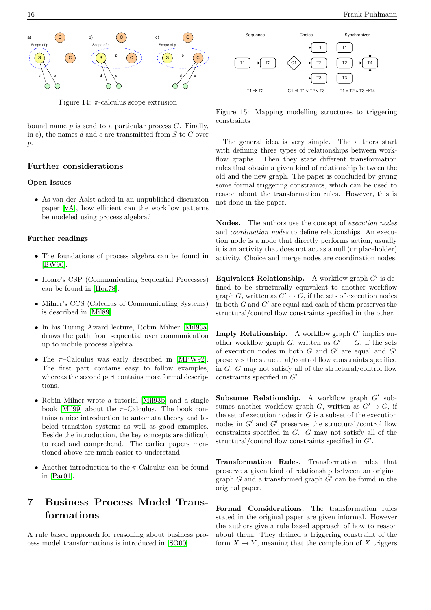

<span id="page-15-1"></span>Figure 14:  $\pi$ -calculus scope extrusion

bound name  $p$  is send to a particular process  $C$ . Finally, in c), the names d and e are transmitted from  $S$  to  $C$  over p.

## Further considerations

#### Open Issues

• As van der Aalst asked in an unpublished discussion paper [\[vA\]](#page-20-6), how efficient can the workflow patterns be modeled using process algebra?

#### Further readings

- The foundations of process algebra can be found in [\[BW90\]](#page-18-15).
- Hoare's CSP (Communicating Sequential Processes) can be found in [\[Hoa78\]](#page-18-16).
- Milner's CCS (Calculus of Communicating Systems) is described in [\[Mil89\]](#page-19-21).
- In his Turing Award lecture, Robin Milner [\[Mil93a\]](#page-19-22) draws the path from sequential over communication up to mobile process algebra.
- The  $\pi$ -Calculus was early described in [\[MPW92\]](#page-19-23). The first part contains easy to follow examples, whereas the second part contains more formal descriptions.
- Robin Milner wrote a tutorial [\[Mil93b\]](#page-19-24) and a single book [\[Mil99\]](#page-19-1) about the  $\pi$ -Calculus. The book contains a nice introduction to automata theory and labeled transition systems as well as good examples. Beside the introduction, the key concepts are difficult to read and comprehend. The earlier papers mentioned above are much easier to understand.
- Another introduction to the  $\pi$ -Calculus can be found in [\[Par01\]](#page-19-25).

# <span id="page-15-0"></span>7 Business Process Model Transformations

A rule based approach for reasoning about business process model transformations is introduced in [\[SO00\]](#page-20-7).





<span id="page-15-2"></span>Figure 15: Mapping modelling structures to triggering constraints

The general idea is very simple. The authors start with defining three types of relationships between workflow graphs. Then they state different transformation rules that obtain a given kind of relationship between the old and the new graph. The paper is concluded by giving some formal triggering constraints, which can be used to reason about the transformation rules. However, this is not done in the paper.

Nodes. The authors use the concept of *execution nodes* and coordination nodes to define relationships. An execution node is a node that directly performs action, usually it is an activity that does not act as a null (or placeholder) activity. Choice and merge nodes are coordination nodes.

Equivalent Relationship. A workflow graph  $G'$  is defined to be structurally equivalent to another workflow graph G, written as  $G' \leftrightarrow G$ , if the sets of execution nodes in both  $G$  and  $G'$  are equal and each of them preserves the structural/control flow constraints specified in the other.

Imply Relationship. A workflow graph  $G'$  implies another workflow graph G, written as  $G' \to G$ , if the sets of execution nodes in both  $G$  and  $G'$  are equal and  $G'$ preserves the structural/control flow constraints specified in  $G$ .  $G$  may not satisfy all of the structural/control flow constraints specified in  $G'$ .

Subsume Relationship. A workflow graph  $G'$  subsumes another workflow graph G, written as  $G' \supset G$ , if the set of execution nodes in  $G$  is a subset of the execution nodes in  $G'$  and  $G'$  preserves the structural/control flow constraints specified in G. G may not satisfy all of the structural/control flow constraints specified in  $G'$ .

Transformation Rules. Transformation rules that preserve a given kind of relationship between an original graph  $G$  and a transformed graph  $G'$  can be found in the original paper.

Formal Considerations. The transformation rules stated in the original paper are given informal. However the authors give a rule based approach of how to reason about them. They defined a triggering constraint of the form  $X \to Y$ , meaning that the completion of X triggers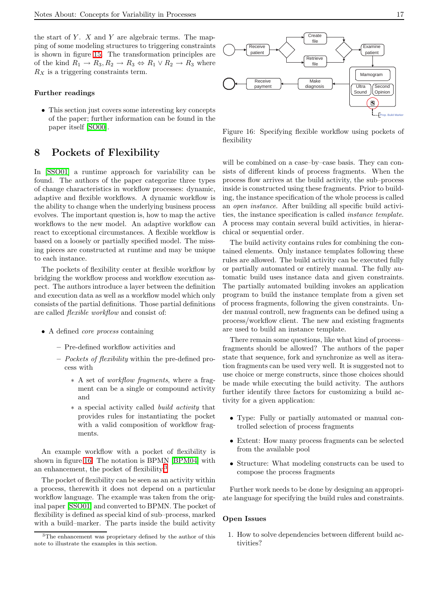the start of  $Y$ .  $X$  and  $Y$  are algebraic terms. The mapping of some modeling structures to triggering constraints is shown in figure [15.](#page-15-2) The transformation principles are of the kind  $R_1 \rightarrow R_3, R_2 \rightarrow R_3 \Leftrightarrow R_1 \vee R_2 \rightarrow R_3$  where  $R_X$  is a triggering constraints term.

#### Further readings

• This section just covers some interesting key concepts of the paper; further information can be found in the paper itself [\[SO00\]](#page-20-7).

## <span id="page-16-0"></span>8 Pockets of Flexibility

In [\[SSO01\]](#page-20-8) a runtime approach for variability can be found. The authors of the paper categorize three types of change characteristics in workflow processes: dynamic, adaptive and flexible workflows. A dynamic workflow is the ability to change when the underlying business process evolves. The important question is, how to map the active workflows to the new model. An adaptive workflow can react to exceptional circumstances. A flexible workflow is based on a loosely or partially specified model. The missing pieces are constructed at runtime and may be unique to each instance.

The pockets of flexibility center at flexible workflow by bridging the workflow process and workflow execution aspect. The authors introduce a layer between the definition and execution data as well as a workflow model which only consists of the partial definitions. Those partial definitions are called flexible workflow and consist of:

- A defined *core process* containing
	- Pre-defined workflow activities and
	- Pockets of flexibility within the pre-defined process with
		- ∗ A set of workflow fragments, where a fragment can be a single or compound activity and
		- ∗ a special activity called build activity that provides rules for instantiating the pocket with a valid composition of workflow fragments.

An example workflow with a pocket of flexibility is shown in figure [16.](#page-16-1) The notation is BPMN [\[BPM04\]](#page-18-3) with an enhancement, the pocket of flexibility.[3](#page-16-2)

The pocket of flexibility can be seen as an activity within a process, therewith it does not depend on a particular workflow language. The example was taken from the original paper [\[SSO01\]](#page-20-8) and converted to BPMN. The pocket of flexibility is defined as special kind of sub–process, marked with a build–marker. The parts inside the build activity



<span id="page-16-1"></span>Figure 16: Specifying flexible workflow using pockets of flexibility

will be combined on a case–by–case basis. They can consists of different kinds of process fragments. When the process flow arrives at the build activity, the sub–process inside is constructed using these fragments. Prior to building, the instance specification of the whole process is called an open instance. After building all specific build activities, the instance specification is called instance template. A process may contain several build activities, in hierarchical or sequential order.

The build activity contains rules for combining the contained elements. Only instance templates following these rules are allowed. The build activity can be executed fully or partially automated or entirely manual. The fully automatic build uses instance data and given constraints. The partially automated building invokes an application program to build the instance template from a given set of process fragments, following the given constraints. Under manual controll, new fragments can be defined using a process/workflow client. The new and existing fragments are used to build an instance template.

There remain some questions, like what kind of process– fragments should be allowed? The authors of the paper state that sequence, fork and synchronize as well as iteration fragments can be used very well. It is suggested not to use choice or merge constructs, since those choices should be made while executing the build activity. The authors further identify three factors for customizing a build activity for a given application:

- Type: Fully or partially automated or manual controlled selection of process fragments
- Extent: How many process fragments can be selected from the available pool
- Structure: What modeling constructs can be used to compose the process fragments

Further work needs to be done by designing an appropriate language for specifying the build rules and constraints.

#### Open Issues

1. How to solve dependencies between different build activities?

<span id="page-16-2"></span><sup>&</sup>lt;sup>3</sup>The enhancement was proprietary defined by the author of this note to illustrate the examples in this section.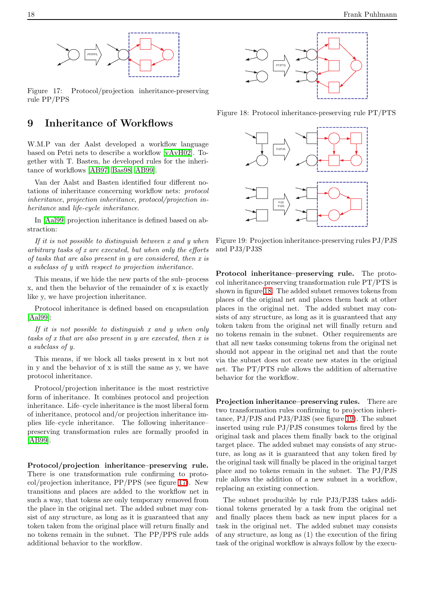

<span id="page-17-1"></span>Figure 17: Protocol/projection inheritance-preserving rule PP/PPS

## <span id="page-17-0"></span>9 Inheritance of Workflows

W.M.P van der Aalst developed a workflow language based on Petri nets to describe a workflow [\[vAvH02\]](#page-20-9). Together with T. Basten, he developed rules for the inheritance of workflows [\[AB97,](#page-18-17) [Bas98,](#page-18-4) [AB99\]](#page-18-18).

Van der Aalst and Basten identified four different notations of inheritance concerning workflow nets: protocol inheritance, projection inheritance, protocol/projection inheritance and life-cycle inheritance.

In [\[Aal99\]](#page-18-19) projection inheritance is defined based on abstraction:

If it is not possible to distinguish between  $x$  and  $y$  when arbitrary tasks of x are executed, but when only the efforts of tasks that are also present in y are considered, then x is a subclass of y with respect to projection inheritance.

This means, if we hide the new parts of the sub–process x, and then the behavior of the remainder of x is exactly like y, we have projection inheritance.

Protocol inheritance is defined based on encapsulation [\[Aal99\]](#page-18-19):

If it is not possible to distinguish x and y when only tasks of x that are also present in y are executed, then x is a subclass of y.

This means, if we block all tasks present in x but not in y and the behavior of x is still the same as y, we have protocol inheritance.

Protocol/projection inheritance is the most restrictive form of inheritance. It combines protocol and projection inheritance. Life–cycle inheritance is the most liberal form of inheritance, protocol and/or projection inheritance implies life–cycle inheritance. The following inheritance– preserving transformation rules are formally proofed in [\[AB99\]](#page-18-18).

Protocol/projection inheritance–preserving rule. There is one transformation rule confirming to protocol/projection inheritance, PP/PPS (see figure [17\)](#page-17-1). New transitions and places are added to the workflow net in such a way, that tokens are only temporary removed from the place in the original net. The added subnet may consist of any structure, as long as it is guaranteed that any token taken from the original place will return finally and no tokens remain in the subnet. The PP/PPS rule adds additional behavior to the workflow.



<span id="page-17-2"></span>Figure 18: Protocol inheritance-preserving rule PT/PTS



<span id="page-17-3"></span>Figure 19: Projection inheritance-preserving rules PJ/PJS and PJ3/PJ3S

Protocol inheritance–preserving rule. The protocol inheritance-preserving transformation rule PT/PTS is shown in figure [18.](#page-17-2) The added subnet removes tokens from places of the original net and places them back at other places in the original net. The added subnet may consists of any structure, as long as it is guaranteed that any token taken from the original net will finally return and no tokens remain in the subnet. Other requirements are that all new tasks consuming tokens from the original net should not appear in the original net and that the route via the subnet does not create new states in the original net. The PT/PTS rule allows the addition of alternative behavior for the workflow.

Projection inheritance–preserving rules. There are two transformation rules confirming to projection inheritance, PJ/PJS and PJ3/PJ3S (see figure [19\)](#page-17-3). The subnet inserted using rule PJ/PJS consumes tokens fired by the original task and places them finally back to the original target place. The added subnet may consists of any structure, as long as it is guaranteed that any token fired by the original task will finally be placed in the original target place and no tokens remain in the subnet. The PJ/PJS rule allows the addition of a new subnet in a workflow, replacing an existing connection.

The subnet producible by rule PJ3/PJ3S takes additional tokens generated by a task from the original net and finally places them back as new input places for a task in the original net. The added subnet may consists of any structure, as long as (1) the execution of the firing task of the original workflow is always follow by the execu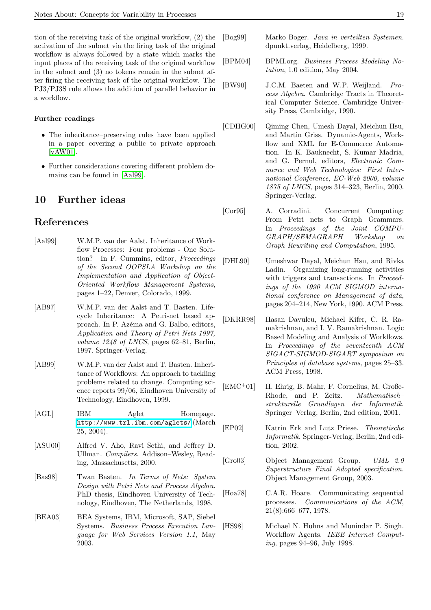tion of the receiving task of the original workflow, (2) the activation of the subnet via the firing task of the original workflow is always followed by a state which marks the input places of the receiving task of the original workflow in the subnet and (3) no tokens remain in the subnet after firing the receiving task of the original workflow. The PJ3/PJ3S rule allows the addition of parallel behavior in a workflow.

#### Further readings

- The inheritance–preserving rules have been applied in a paper covering a public to private approach [\[vAW01\]](#page-20-10).
- Further considerations covering different problem domains can be found in [\[Aal99\]](#page-18-19).

## <span id="page-18-0"></span>10 Further ideas

## References

- <span id="page-18-19"></span>[Aal99] W.M.P. van der Aalst. Inheritance of Workflow Processes: Four problems - One Solution? In F. Cummins, editor, Proceedings of the Second OOPSLA Workshop on the Implementation and Application of Object-Oriented Workflow Management Systems, pages 1–22, Denver, Colorado, 1999.
- <span id="page-18-17"></span>[AB97] W.M.P. van der Aalst and T. Basten. Lifecycle Inheritance: A Petri-net based approach. In P. Azéma and G. Balbo, editors, Application and Theory of Petri Nets 1997, volume 1248 of LNCS, pages 62-81, Berlin, 1997. Springer-Verlag.
- <span id="page-18-18"></span>[AB99] W.M.P. van der Aalst and T. Basten. Inheritance of Workflows: An approach to tackling problems related to change. Computing science reports 99/06, Eindhoven University of Technology, Eindhoven, 1999.
- <span id="page-18-14"></span>[AGL] IBM Aglet Homepage. <http://www.trl.ibm.com/aglets/> (March 25, 2004).
- <span id="page-18-5"></span>[ASU00] Alfred V. Aho, Ravi Sethi, and Jeffrey D. Ullman. Compilers. Addison–Wesley, Reading, Massachusetts, 2000.
- <span id="page-18-4"></span>[Bas98] Twan Basten. In Terms of Nets: System Design with Petri Nets and Process Algebra. PhD thesis, Eindhoven University of Technology, Eindhoven, The Netherlands, 1998.
- <span id="page-18-1"></span>[BEA03] BEA Systems, IBM, Microsoft, SAP, Siebel Systems. Business Process Execution Language for Web Services Version 1.1, May 2003.
- <span id="page-18-13"></span>[Bog99] Marko Boger. Java in verteilten Systemen. dpunkt.verlag, Heidelberg, 1999.
- <span id="page-18-3"></span>[BPM04] BPMI.org. Business Process Modeling Notation, 1.0 edition, May 2004.
- <span id="page-18-15"></span>[BW90] J.C.M. Baeten and W.P. Weijland. Process Algebra. Cambridge Tracts in Theoretical Computer Science. Cambridge University Press, Cambridge, 1990.
- <span id="page-18-12"></span>[CDHG00] Qiming Chen, Umesh Dayal, Meichun Hsu, and Martin Griss. Dynamic-Agents, Workflow and XML for E-Commerce Automation. In K. Bauknecht, S. Kumar Madria, and G. Pernul, editors, Electronic Commerce and Web Technologies: First International Conference, EC-Web 2000, volume 1875 of LNCS, pages 314–323, Berlin, 2000. Springer-Verlag.
- <span id="page-18-10"></span>[Cor95] A. Corradini. Concurrent Computing: From Petri nets to Graph Grammars. In Proceedings of the Joint COMPU-GRAPH/SEMAGRAPH Workshop on Graph Rewriting and Computation, 1995.
- <span id="page-18-7"></span>[DHL90] Umeshwar Dayal, Meichun Hsu, and Rivka Ladin. Organizing long-running activities with triggers and transactions. In *Proceed*ings of the 1990 ACM SIGMOD international conference on Management of data, pages 204–214, New York, 1990. ACM Press.
- <span id="page-18-8"></span>[DKRR98] Hasan Davulcu, Michael Kifer, C. R. Ramakrishnan, and I. V. Ramakrishnan. Logic Based Modeling and Analysis of Workflows. In Proceedings of the seventeenth ACM SIGACT-SIGMOD-SIGART symposium on Principles of database systems, pages 25–33. ACM Press, 1998.
- <span id="page-18-6"></span>[EMC<sup>+</sup>01] H. Ehrig, B. Mahr, F. Cornelius, M. Große-Rhode, and P. Zeitz. Mathematisch– strukturelle Grundlagen der Informatik. Springer–Verlag, Berlin, 2nd edition, 2001.
- <span id="page-18-9"></span>[EP02] Katrin Erk and Lutz Priese. Theoretische Informatik. Springer-Verlag, Berlin, 2nd edition, 2002.
- <span id="page-18-2"></span>[Gro03] Object Management Group. UML 2.0 Superstructure Final Adopted specification. Object Management Group, 2003.
- <span id="page-18-16"></span>[Hoa78] C.A.R. Hoare. Communicating sequential processes. Communications of the ACM, 21(8):666–677, 1978.
- <span id="page-18-11"></span>[HS98] Michael N. Huhns and Munindar P. Singh. Workflow Agents. IEEE Internet Computing, pages 94–96, July 1998.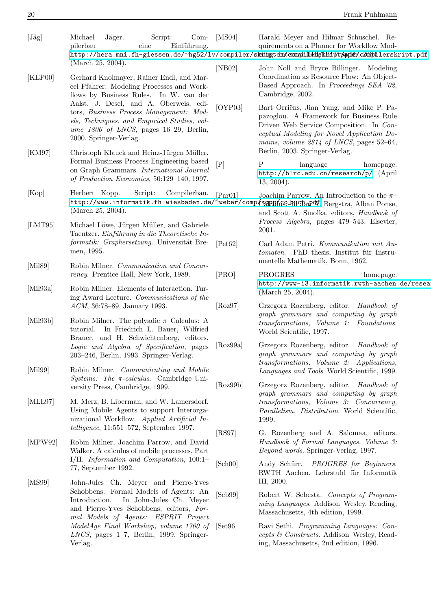<span id="page-19-25"></span><span id="page-19-24"></span><span id="page-19-23"></span><span id="page-19-22"></span><span id="page-19-21"></span><span id="page-19-20"></span><span id="page-19-19"></span><span id="page-19-18"></span><span id="page-19-17"></span><span id="page-19-16"></span><span id="page-19-15"></span><span id="page-19-14"></span><span id="page-19-13"></span><span id="page-19-12"></span><span id="page-19-11"></span><span id="page-19-10"></span><span id="page-19-9"></span><span id="page-19-8"></span><span id="page-19-7"></span><span id="page-19-6"></span><span id="page-19-5"></span><span id="page-19-4"></span><span id="page-19-3"></span><span id="page-19-2"></span><span id="page-19-1"></span><span id="page-19-0"></span>

| $[\text{Jäg}]$       | Michael<br>Jäger.<br>Script:<br>$Com-$<br>Einführung.<br>pilerbau<br>eine                                                                                                                                                                                                                                           | [MS04]      | Harald Meyer and Hilmar Schuschel. Re-<br>quirements on a Planner for Workflow Mod-<br>http://hera.mni.fh-giessen.de/~hg52/lv/compiler/skhimgtehm/ermplilleHs/kHHptp/ppdfv/c20mphilerskript.pdf                            |  |
|----------------------|---------------------------------------------------------------------------------------------------------------------------------------------------------------------------------------------------------------------------------------------------------------------------------------------------------------------|-------------|----------------------------------------------------------------------------------------------------------------------------------------------------------------------------------------------------------------------------|--|
| [KEP00]              | (March 25, 2004).<br>Gerhard Knolmayer, Rainer Endl, and Mar-<br>cel Pfahrer. Modeling Processes and Work-<br>flows by Business Rules. In W. van der                                                                                                                                                                | [NB02]      | John Noll and Bryce Billinger. Modeling<br>Coordination as Resource Flow: An Object-<br>Based Approach. In Proceedings SEA '02,<br>Cambridge, 2002.                                                                        |  |
|                      | Aalst, J. Desel, and A. Oberweis, edi-<br>tors, Business Process Management: Mod-<br>els, Techniques, and Empirical Studies, vol-<br>ume $1806$ of LNCS, pages 16-29, Berlin,<br>2000. Springer-Verlag.                                                                                                             |             | Bart Orriëns, Jian Yang, and Mike P. Pa-<br>pazoglou. A Framework for Business Rule<br>Driven Web Service Composition. In Con-<br>ceptual Modeling for Novel Application Do-<br>mains, volume $2814$ of LNCS, pages 52-64, |  |
| [KM97]               | Christoph Klauck and Heinz-Jürgen Müller.<br>Formal Business Process Engineering based<br>on Graph Grammars. International Journal<br>of Production Economics, 50:129-140, 1997.                                                                                                                                    | $[{\rm P}]$ | Berlin, 2003. Springer-Verlag.<br>P<br>language<br>homepage.<br>http://blrc.edu.cn/research/p/ (April<br>$13, 2004$ ).                                                                                                     |  |
| [Kop]                | Script:<br>Compilerbau.<br>Herbert Kopp.<br>http://www.informatik.fh-wiesbaden.de/~weber/comp/kappp/fso-bHchnpof. Bergstra, Alban Ponse,<br>(March 25, 2004).                                                                                                                                                       | [Par01]     | Joachim Parrow. An Introduction to the $\pi-$<br>and Scott A. Smolka, editors, Handbook of                                                                                                                                 |  |
| [LMT95]              | Michael Löwe, Jürgen Müller, and Gabriele<br>Taentzer. Einführung in die Theoretische In-<br>formatik: Graphersetzung. Universität Bre-                                                                                                                                                                             | [Pet62]     | Process Algebra, pages 479-543. Elsevier,<br>2001.<br>Carl Adam Petri. Kommunikation mit Au-                                                                                                                               |  |
| [Mil89]              | men, 1995.<br>Robin Milner. Communication and Concur-                                                                                                                                                                                                                                                               |             | tomaten. PhD thesis, Institut für Instru-<br>mentelle Mathematik, Bonn, 1962.                                                                                                                                              |  |
|                      | rency. Prentice Hall, New York, 1989.                                                                                                                                                                                                                                                                               | [PRO]       | PROGRES<br>homepage.<br>http://www-i3.informatik.rwth-aachen.de/resea                                                                                                                                                      |  |
| [Mil93a]<br>[Mil93b] | Robin Milner. Elements of Interaction. Tur-<br>ing Award Lecture. Communications of the<br>ACM, 36:78-89, January 1993.<br>Robin Milner. The polyadic $\pi$ -Calculus: A<br>tutorial. In Friedrich L. Bauer, Wilfried<br>Brauer, and H. Schwichtenberg, editors,                                                    | [Roz97]     | (March 25, 2004).<br>Grzegorz Rozenberg, editor. Handbook of<br>graph grammars and computing by graph<br>transformations, Volume 1: Foundations.<br>World Scientific, 1997.                                                |  |
|                      |                                                                                                                                                                                                                                                                                                                     |             |                                                                                                                                                                                                                            |  |
| [Mil99]              | Robin Milner. Communicating and Mobile<br><i>Systems:</i> The $\pi$ -calculus. Cambridge Uni-<br>versity Press, Cambridge, 1999.                                                                                                                                                                                    | [Roz99b]    | Languages and Tools. World Scientific, 1999.<br>Grzegorz Rozenberg, editor. Handbook of                                                                                                                                    |  |
| [MLL97]              | M. Merz, B. Liberman, and W. Lamersdorf.<br>Using Mobile Agents to support Interorga-<br>nizational Workflow. Applied Artificial In-                                                                                                                                                                                |             | graph grammars and computing by graph<br>transformations, Volume 3: Concurrency,<br>Parallelism, Distribution. World Scientific,<br>1999.                                                                                  |  |
| [MPW92]              | $telligence, 11:551-572, September 1997.$<br>Robin Milner, Joachim Parrow, and David<br>Walker. A calculus of mobile processes, Part                                                                                                                                                                                | [RS97]      | G. Rozenberg and A. Salomaa, editors.<br>Handbook of Formal Languages, Volume 3:<br>Beyond words. Springer-Verlag, 1997.                                                                                                   |  |
|                      | $I/II.$ Information and Computation, 100:1-<br>77, September 1992.                                                                                                                                                                                                                                                  | [Sch00]     | Andy Schürr.<br>PROGRES for Beginners.<br>RWTH Aachen, Lehrstuhl für Informatik                                                                                                                                            |  |
| [MS99]               | John-Jules Ch. Meyer and Pierre-Yves<br>Schobbens. Formal Models of Agents: An<br>In John-Jules Ch. Meyer<br>Introduction.<br>and Pierre-Yves Schobbens, editors, For-<br>mal Models of Agents: ESPRIT Project<br>ModelAge Final Workshop, volume 1760 of<br>$LNCS$ , pages 1–7, Berlin, 1999. Springer-<br>Verlag. | [Seb99]     | III, 2000.<br>Robert W. Sebesta. Concepts of Program-<br>ming Languages. Addison-Wesley, Reading,<br>Massachusetts, 4th edition, 1999.                                                                                     |  |
|                      |                                                                                                                                                                                                                                                                                                                     | Set96       | Ravi Sethi. Programming Languages: Con-<br>cepts $\mathcal C$ Constructs. Addison-Wesley, Read-<br>ing, Massachusetts, 2nd edition, 1996.                                                                                  |  |
|                      |                                                                                                                                                                                                                                                                                                                     |             |                                                                                                                                                                                                                            |  |